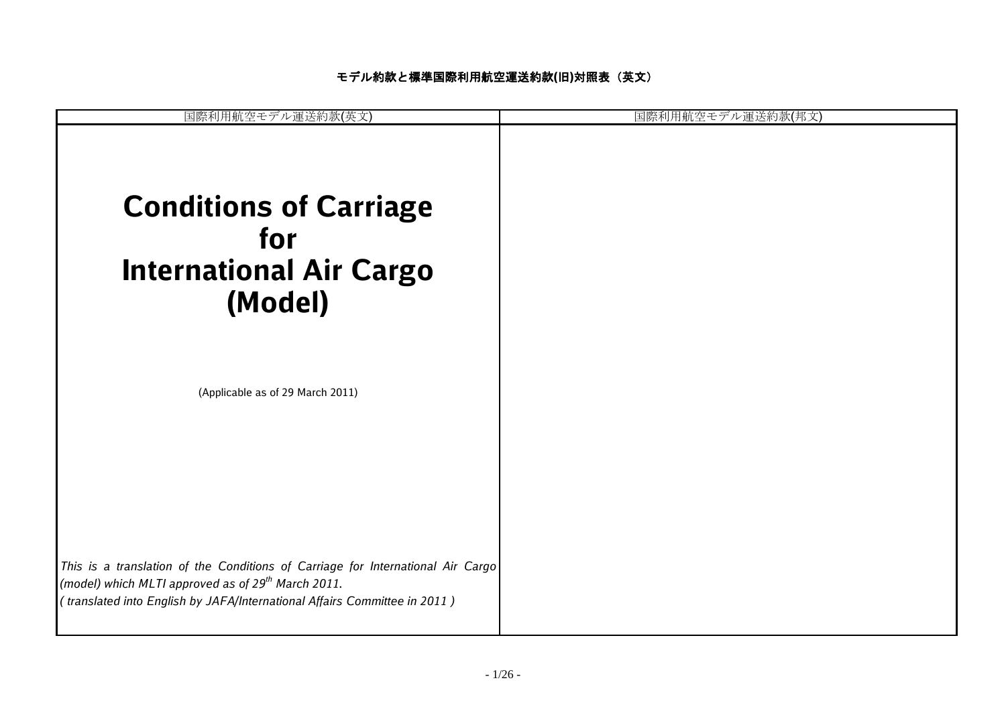| 国際利用航空モデル運送約款(英文)                                                                                                                                                                                                              | 罕モデル運送約款(邦文 |
|--------------------------------------------------------------------------------------------------------------------------------------------------------------------------------------------------------------------------------|-------------|
| <b>Conditions of Carriage</b><br>for<br><b>International Air Cargo</b><br>(Model)                                                                                                                                              |             |
| (Applicable as of 29 March 2011)                                                                                                                                                                                               |             |
| This is a translation of the Conditions of Carriage for International Air Cargo<br>(model) which MLTI approved as of 29 <sup>th</sup> March 2011.<br>(translated into English by JAFA/International Affairs Committee in 2011) |             |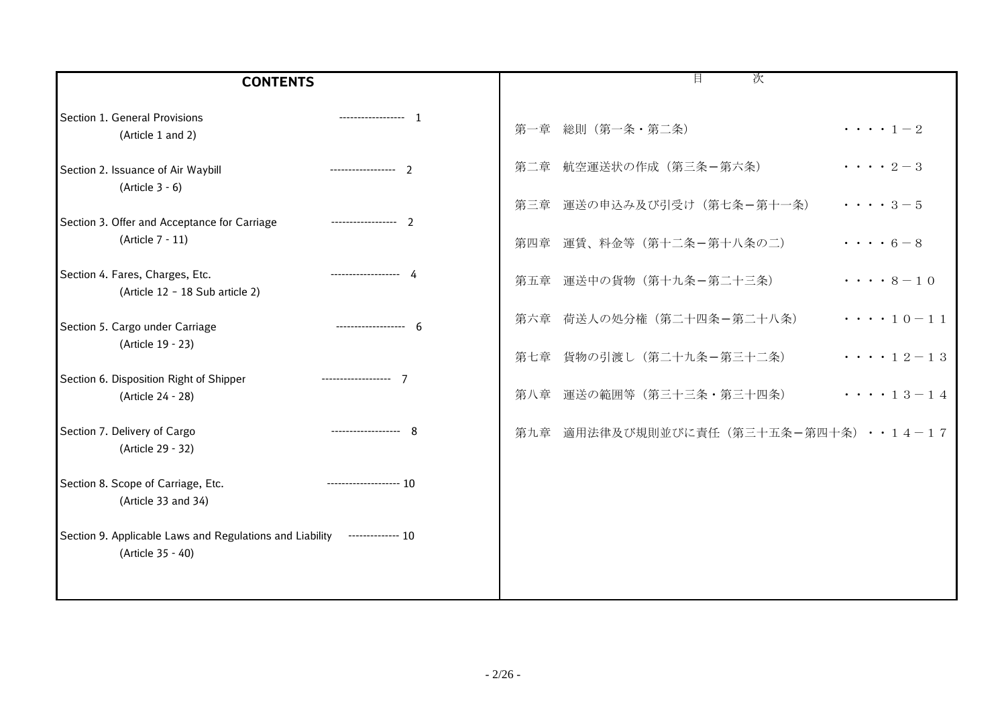| <b>CONTENTS</b>                                                                                 | 目<br>次                                       |
|-------------------------------------------------------------------------------------------------|----------------------------------------------|
| Section 1. General Provisions<br>------------------- 1<br>(Article 1 and 2)                     | 第一章 総則 (第一条・第二条)<br>$\cdots$ $1-2$           |
| Section 2. Issuance of Air Waybill<br>$(Article 3 - 6)$                                         | 第二章 航空運送状の作成 (第三条-第六条)<br>$\cdots$ 2 – 3     |
| Section 3. Offer and Acceptance for Carriage                                                    | 第三章 運送の申込み及び引受け (第七条-第十一条)<br>$\cdots$ 3 – 5 |
| (Article 7 - 11)                                                                                | $\cdots$ 6 – 8<br>第四章 運賃、料金等 (第十二条-第十八条の二)   |
| Section 4. Fares, Charges, Etc.<br>------------------- 4<br>(Article 12 - 18 Sub article 2)     | 第五章 運送中の貨物 (第十九条ー第二十三条)<br>$\cdots$ 8 – 10   |
| Section 5. Cargo under Carriage<br>-------------------<br>-6                                    | 第六章 荷送人の処分権 (第二十四条-第二十八条)<br>$\cdots$ 10-11  |
| (Article 19 - 23)                                                                               | 第七章 貨物の引渡し (第二十九条ー第三十二条)<br>$\cdots$ 12-13   |
| Section 6. Disposition Right of Shipper<br>------------------- 7<br>(Article 24 - 28)           | 第八章 運送の範囲等(第三十三条·第三十四条)<br>$\cdots$ 13-14    |
| Section 7. Delivery of Cargo<br>------------------- 8<br>(Article 29 - 32)                      | 第九章 適用法律及び規則並びに責任(第三十五条-第四十条)・・14-17         |
| Section 8. Scope of Carriage, Etc.<br>-------------------- 10<br>(Article 33 and 34)            |                                              |
| Section 9. Applicable Laws and Regulations and Liability -------------- 10<br>(Article 35 - 40) |                                              |
|                                                                                                 |                                              |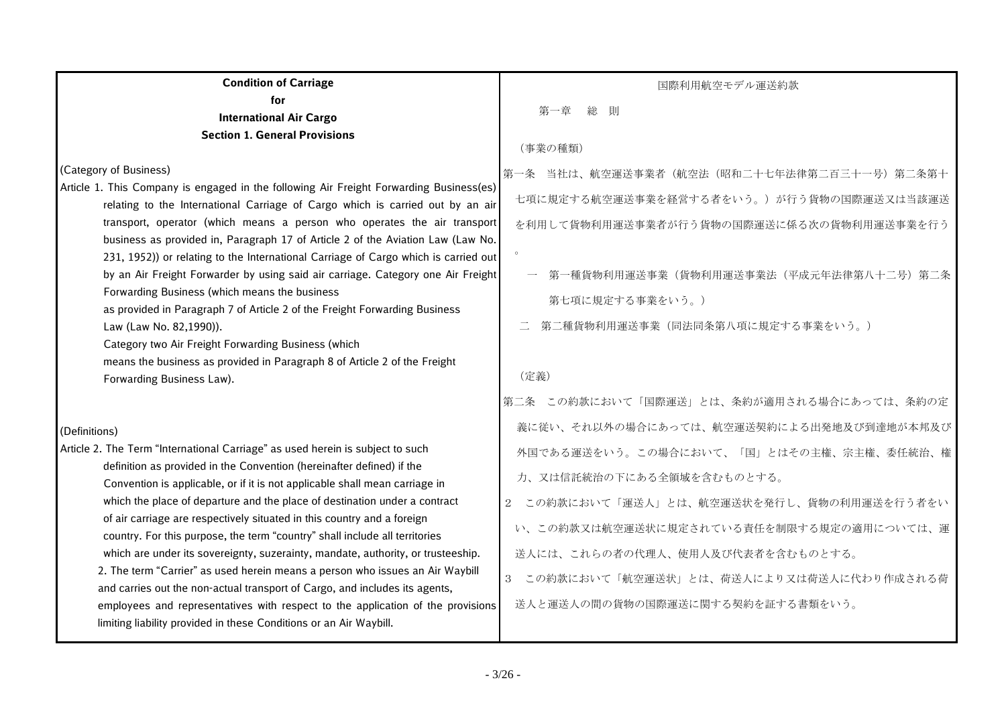| <b>Condition of Carriage</b>                                                                                                                                                                                                                                                                                                                                                                                                                                                                                                                                                                                                                                                                                                                                                                                                                                                                | 国際利用航空モデル運送約款                                                                                                                                                                                                                                                                                       |
|---------------------------------------------------------------------------------------------------------------------------------------------------------------------------------------------------------------------------------------------------------------------------------------------------------------------------------------------------------------------------------------------------------------------------------------------------------------------------------------------------------------------------------------------------------------------------------------------------------------------------------------------------------------------------------------------------------------------------------------------------------------------------------------------------------------------------------------------------------------------------------------------|-----------------------------------------------------------------------------------------------------------------------------------------------------------------------------------------------------------------------------------------------------------------------------------------------------|
| for                                                                                                                                                                                                                                                                                                                                                                                                                                                                                                                                                                                                                                                                                                                                                                                                                                                                                         | 総<br>則                                                                                                                                                                                                                                                                                              |
| <b>International Air Cargo</b><br><b>Section 1. General Provisions</b>                                                                                                                                                                                                                                                                                                                                                                                                                                                                                                                                                                                                                                                                                                                                                                                                                      |                                                                                                                                                                                                                                                                                                     |
|                                                                                                                                                                                                                                                                                                                                                                                                                                                                                                                                                                                                                                                                                                                                                                                                                                                                                             | (事業の種類)                                                                                                                                                                                                                                                                                             |
| (Category of Business)<br>Article 1. This Company is engaged in the following Air Freight Forwarding Business(es)<br>relating to the International Carriage of Cargo which is carried out by an air<br>transport, operator (which means a person who operates the air transport<br>business as provided in, Paragraph 17 of Article 2 of the Aviation Law (Law No.<br>231, 1952)) or relating to the International Carriage of Cargo which is carried out<br>by an Air Freight Forwarder by using said air carriage. Category one Air Freight<br>Forwarding Business (which means the business<br>as provided in Paragraph 7 of Article 2 of the Freight Forwarding Business                                                                                                                                                                                                                | 第一条 当社は、航空運送事業者(航空法(昭和二十七年法律第二百三十一号)第二条第十<br>七項に規定する航空運送事業を経営する者をいう。)が行う貨物の国際運送又は当該運送<br>を利用して貨物利用運送事業者が行う貨物の国際運送に係る次の貨物利用運送事業を行う<br>第一種貨物利用運送事業(貨物利用運送事業法(平成元年法律第八十二号)第二条<br>第七項に規定する事業をいう。)                                                                                                       |
| Law (Law No. 82,1990)).<br>Category two Air Freight Forwarding Business (which<br>means the business as provided in Paragraph 8 of Article 2 of the Freight<br>Forwarding Business Law).                                                                                                                                                                                                                                                                                                                                                                                                                                                                                                                                                                                                                                                                                                    | 第二種貨物利用運送事業(同法同条第八項に規定する事業をいう。)<br>(定義)<br>第二条 この約款において「国際運送」とは、条約が適用される場合にあっては、条約の定                                                                                                                                                                                                                |
| (Definitions)                                                                                                                                                                                                                                                                                                                                                                                                                                                                                                                                                                                                                                                                                                                                                                                                                                                                               | 義に従い、それ以外の場合にあっては、航空運送契約による出発地及び到達地が本邦及び                                                                                                                                                                                                                                                            |
| Article 2. The Term "International Carriage" as used herein is subject to such<br>definition as provided in the Convention (hereinafter defined) if the<br>Convention is applicable, or if it is not applicable shall mean carriage in<br>which the place of departure and the place of destination under a contract<br>of air carriage are respectively situated in this country and a foreign<br>country. For this purpose, the term "country" shall include all territories<br>which are under its sovereignty, suzerainty, mandate, authority, or trusteeship.<br>2. The term "Carrier" as used herein means a person who issues an Air Waybill<br>and carries out the non-actual transport of Cargo, and includes its agents,<br>employees and representatives with respect to the application of the provisions<br>limiting liability provided in these Conditions or an Air Waybill. | 外国である運送をいう。この場合において、「国」とはその主権、宗主権、委任統治、権<br>力、又は信託統治の下にある全領域を含むものとする。<br>この約款において「運送人」とは、航空運送状を発行し、貨物の利用運送を行う者をい<br>$\overline{2}$<br>い、この約款又は航空運送状に規定されている責任を制限する規定の適用については、運<br>送人には、これらの者の代理人、使用人及び代表者を含むものとする。<br>3 この約款において「航空運送状」とは、荷送人により又は荷送人に代わり作成される荷<br>送人と運送人の間の貨物の国際運送に関する契約を証する書類をいう。 |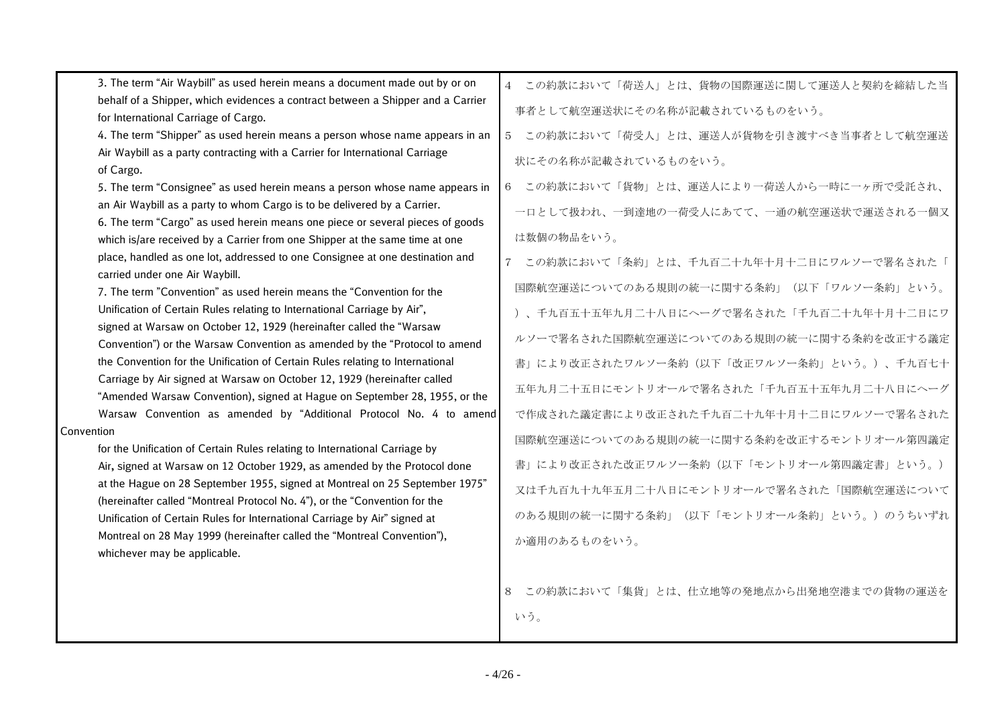| 3. The term "Air Waybill" as used herein means a document made out by or on       | 4 この約款において「荷送人」とは、貨物の国際運送に関して運送人と契約を締結した当              |
|-----------------------------------------------------------------------------------|--------------------------------------------------------|
| behalf of a Shipper, which evidences a contract between a Shipper and a Carrier   | 事者として航空運送状にその名称が記載されているものをいう。                          |
| for International Carriage of Cargo.                                              |                                                        |
| 4. The term "Shipper" as used herein means a person whose name appears in an      | この約款において「荷受人」とは、運送人が貨物を引き渡すべき当事者として航空運送<br>$5^{\circ}$ |
| Air Waybill as a party contracting with a Carrier for International Carriage      | 状にその名称が記載されているものをいう。                                   |
| of Cargo.                                                                         |                                                        |
| 5. The term "Consignee" as used herein means a person whose name appears in       | この約款において「貨物」とは、運送人により一荷送人から一時に一ヶ所で受託され、<br>6           |
| an Air Waybill as a party to whom Cargo is to be delivered by a Carrier.          | 一口として扱われ、一到達地の一荷受人にあてて、一通の航空運送状で運送される一個又               |
| 6. The term "Cargo" as used herein means one piece or several pieces of goods     |                                                        |
| which is/are received by a Carrier from one Shipper at the same time at one       | は数個の物品をいう。                                             |
| place, handled as one lot, addressed to one Consignee at one destination and      | この約款において「条約」とは、千九百二十九年十月十二日にワルソーで署名された「                |
| carried under one Air Waybill.                                                    | 国際航空運送についてのある規則の統一に関する条約」(以下「ワルソー条約」という。               |
| 7. The term "Convention" as used herein means the "Convention for the             |                                                        |
| Unification of Certain Rules relating to International Carriage by Air",          | )、千九百五十五年九月二十八日にヘーグで署名された「千九百二十九年十月十二日にワ               |
| signed at Warsaw on October 12, 1929 (hereinafter called the "Warsaw              | ルソーで署名された国際航空運送についてのある規則の統一に関する条約を改正する議定               |
| Convention") or the Warsaw Convention as amended by the "Protocol to amend        |                                                        |
| the Convention for the Unification of Certain Rules relating to International     | 書」により改正されたワルソー条約(以下「改正ワルソー条約」という。)、千九百七十               |
| Carriage by Air signed at Warsaw on October 12, 1929 (hereinafter called          | 五年九月二十五日にモントリオールで署名された「千九百五十五年九月二十八日にヘーグ               |
| "Amended Warsaw Convention), signed at Hague on September 28, 1955, or the        |                                                        |
| Warsaw Convention as amended by "Additional Protocol No. 4 to amend<br>Convention | で作成された議定書により改正された千九百二十九年十月十二日にワルソーで署名された               |
| for the Unification of Certain Rules relating to International Carriage by        | 国際航空運送についてのある規則の統一に関する条約を改正するモントリオール第四議定               |
| Air, signed at Warsaw on 12 October 1929, as amended by the Protocol done         | 書」により改正された改正ワルソー条約(以下「モントリオール第四議定書」という。)               |
| at the Hague on 28 September 1955, signed at Montreal on 25 September 1975"       |                                                        |
| (hereinafter called "Montreal Protocol No. 4"), or the "Convention for the        | 又は千九百九十九年五月二十八日にモントリオールで署名された「国際航空運送について               |
| Unification of Certain Rules for International Carriage by Air" signed at         | のある規則の統一に関する条約」(以下「モントリオール条約」という。)のうちいずれ               |
| Montreal on 28 May 1999 (hereinafter called the "Montreal Convention"),           |                                                        |
| whichever may be applicable.                                                      | か適用のあるものをいう。                                           |
|                                                                                   |                                                        |
|                                                                                   |                                                        |

8 この約款において「集貨」とは、仕立地等の発地点から出発地空港までの貨物の運送を いう。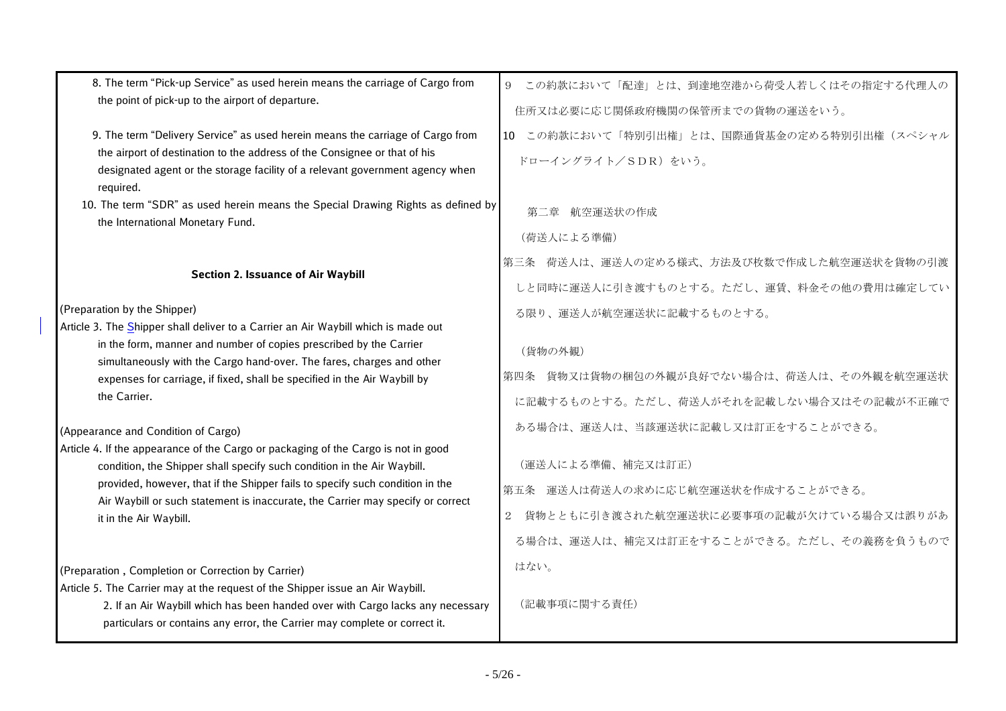| 8. The term "Pick-up Service" as used herein means the carriage of Cargo from                                                                                                                                                                  | 9 この約款において「配達」とは、到達地空港から荷受人若しくはその指定する代理人の                 |
|------------------------------------------------------------------------------------------------------------------------------------------------------------------------------------------------------------------------------------------------|-----------------------------------------------------------|
| the point of pick-up to the airport of departure.                                                                                                                                                                                              | 住所又は必要に応じ関係政府機関の保管所までの貨物の運送をいう。                           |
| 9. The term "Delivery Service" as used herein means the carriage of Cargo from                                                                                                                                                                 | 10 この約款において「特別引出権」とは、国際通貨基金の定める特別引出権(スペシャル                |
| the airport of destination to the address of the Consignee or that of his<br>designated agent or the storage facility of a relevant government agency when<br>required.                                                                        | ドローイングライト/SDR)をいう。                                        |
| 10. The term "SDR" as used herein means the Special Drawing Rights as defined by                                                                                                                                                               | 第二章 航空運送状の作成                                              |
| the International Monetary Fund.                                                                                                                                                                                                               | (荷送人による準備)                                                |
|                                                                                                                                                                                                                                                | 第三条 荷送人は、運送人の定める様式、方法及び枚数で作成した航空運送状を貨物の引渡                 |
| <b>Section 2. Issuance of Air Waybill</b>                                                                                                                                                                                                      | しと同時に運送人に引き渡すものとする。ただし、運賃、料金その他の費用は確定してい                  |
| (Preparation by the Shipper)                                                                                                                                                                                                                   | る限り、運送人が航空運送状に記載するものとする。                                  |
| Article 3. The Shipper shall deliver to a Carrier an Air Waybill which is made out<br>in the form, manner and number of copies prescribed by the Carrier<br>simultaneously with the Cargo hand-over. The fares, charges and other              | (貨物の外観)                                                   |
| expenses for carriage, if fixed, shall be specified in the Air Waybill by<br>the Carrier.                                                                                                                                                      | 第四条 貨物又は貨物の梱包の外観が良好でない場合は、荷送人は、その外観を航空運送状                 |
|                                                                                                                                                                                                                                                | に記載するものとする。ただし、荷送人がそれを記載しない場合又はその記載が不正確で                  |
| (Appearance and Condition of Cargo)                                                                                                                                                                                                            | ある場合は、運送人は、当該運送状に記載し又は訂正をすることができる。                        |
| Article 4. If the appearance of the Cargo or packaging of the Cargo is not in good<br>condition, the Shipper shall specify such condition in the Air Waybill.                                                                                  | (運送人による準備、補完又は訂正)                                         |
| provided, however, that if the Shipper fails to specify such condition in the<br>Air Waybill or such statement is inaccurate, the Carrier may specify or correct<br>it in the Air Waybill.                                                     | 第五条 運送人は荷送人の求めに応じ航空運送状を作成することができる。                        |
|                                                                                                                                                                                                                                                | 貨物とともに引き渡された航空運送状に必要事項の記載が欠けている場合又は誤りがあ<br>$\overline{2}$ |
|                                                                                                                                                                                                                                                | る場合は、運送人は、補完又は訂正をすることができる。ただし、その義務を負うもので                  |
| (Preparation, Completion or Correction by Carrier)                                                                                                                                                                                             | はない。                                                      |
| Article 5. The Carrier may at the request of the Shipper issue an Air Waybill.<br>2. If an Air Waybill which has been handed over with Cargo lacks any necessary<br>particulars or contains any error, the Carrier may complete or correct it. | (記載事項に関する責任)                                              |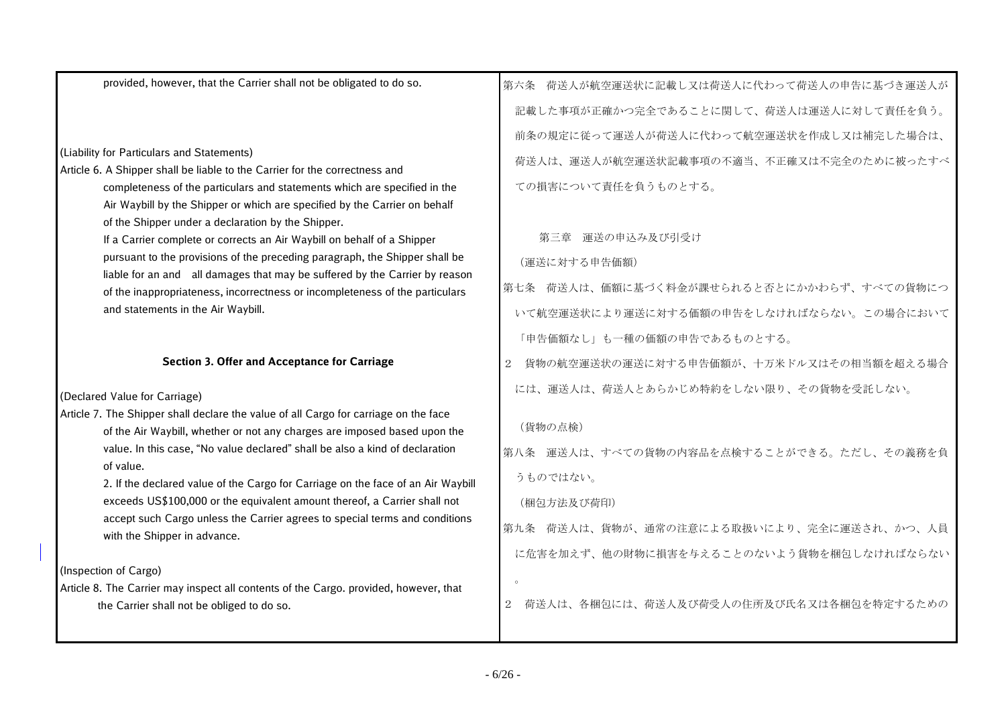| provided, however, that the Carrier shall not be obligated to do so.                                                                                              | 第六条 荷送人が航空運送状に記載し又は荷送人に代わって荷送人の申告に基づき運送人が |
|-------------------------------------------------------------------------------------------------------------------------------------------------------------------|-------------------------------------------|
|                                                                                                                                                                   | 記載した事項が正確かつ完全であることに関して、荷送人は運送人に対して責任を負う。  |
|                                                                                                                                                                   | 前条の規定に従って運送人が荷送人に代わって航空運送状を作成し又は補完した場合は、  |
| (Liability for Particulars and Statements)                                                                                                                        | 荷送人は、運送人が航空運送状記載事項の不適当、不正確又は不完全のために被ったすべ  |
| Article 6. A Shipper shall be liable to the Carrier for the correctness and                                                                                       |                                           |
| completeness of the particulars and statements which are specified in the                                                                                         | ての損害について責任を負うものとする。                       |
| Air Waybill by the Shipper or which are specified by the Carrier on behalf<br>of the Shipper under a declaration by the Shipper.                                  |                                           |
| If a Carrier complete or corrects an Air Waybill on behalf of a Shipper                                                                                           | 第三章 運送の申込み及び引受け                           |
| pursuant to the provisions of the preceding paragraph, the Shipper shall be                                                                                       | (運送に対する申告価額)                              |
| liable for an and all damages that may be suffered by the Carrier by reason<br>of the inappropriateness, incorrectness or incompleteness of the particulars       | 第七条 荷送人は、価額に基づく料金が課せられると否とにかかわらず、すべての貨物につ |
| and statements in the Air Waybill.                                                                                                                                | いて航空運送状により運送に対する価額の申告をしなければならない。この場合において  |
|                                                                                                                                                                   | 「申告価額なし」も一種の価額の申告であるものとする。                |
|                                                                                                                                                                   |                                           |
| Section 3. Offer and Acceptance for Carriage                                                                                                                      | 貨物の航空運送状の運送に対する申告価額が、十万米ドル又はその相当額を超える場合   |
| (Declared Value for Carriage)                                                                                                                                     | には、運送人は、荷送人とあらかじめ特約をしない限り、その貨物を受託しない。     |
| Article 7. The Shipper shall declare the value of all Cargo for carriage on the face<br>of the Air Waybill, whether or not any charges are imposed based upon the | (貨物の点検)                                   |
| value. In this case, "No value declared" shall be also a kind of declaration                                                                                      | 第八条 運送人は、すべての貨物の内容品を点検することができる。ただし、その義務を負 |
| of value.                                                                                                                                                         | うものではない。                                  |
| 2. If the declared value of the Cargo for Carriage on the face of an Air Waybill<br>exceeds US\$100,000 or the equivalent amount thereof, a Carrier shall not     | (梱包方法及び荷印)                                |
| accept such Cargo unless the Carrier agrees to special terms and conditions<br>with the Shipper in advance.                                                       | 第九条 荷送人は、貨物が、通常の注意による取扱いにより、完全に運送され、かつ、人員 |
|                                                                                                                                                                   | に危害を加えず、他の財物に損害を与えることのないよう貨物を梱包しなければならない  |
| (Inspection of Cargo)                                                                                                                                             |                                           |
| Article 8. The Carrier may inspect all contents of the Cargo. provided, however, that                                                                             |                                           |
| the Carrier shall not be obliged to do so.                                                                                                                        | 荷送人は、各梱包には、荷送人及び荷受人の住所及び氏名又は各梱包を特定するための   |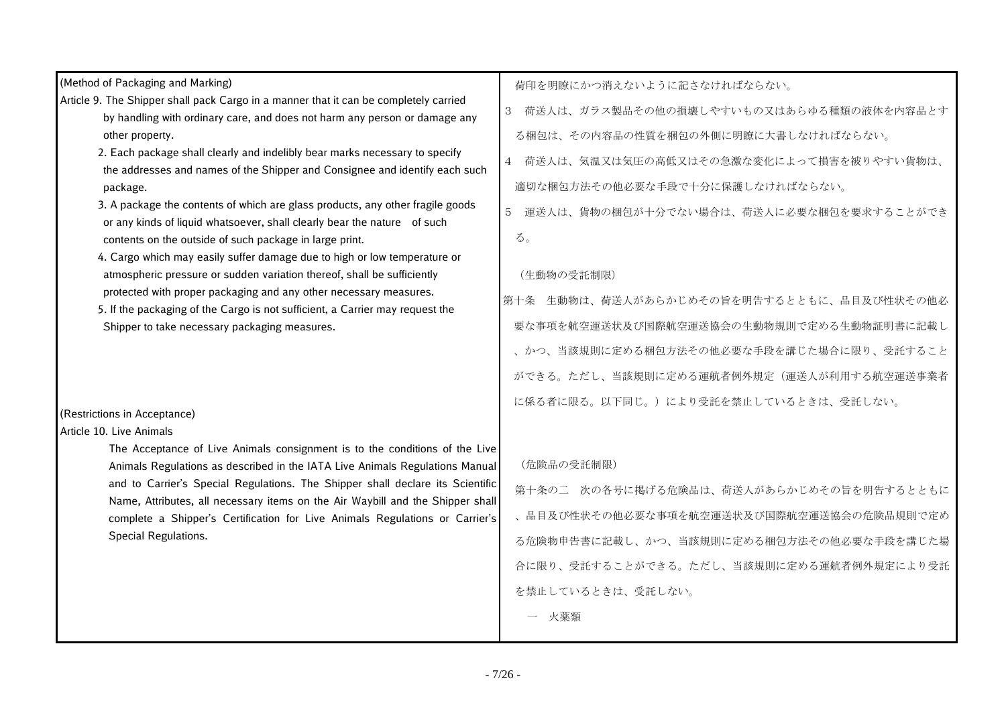| (Method of Packaging and Marking)                                                                                                                                | 荷印を明瞭にかつ消えないように記さなければならない。                   |
|------------------------------------------------------------------------------------------------------------------------------------------------------------------|----------------------------------------------|
| Article 9. The Shipper shall pack Cargo in a manner that it can be completely carried                                                                            | 荷送人は、ガラス製品その他の損壊しやすいもの又はあらゆる種類の液体を内容品とす<br>3 |
| by handling with ordinary care, and does not harm any person or damage any<br>other property.                                                                    | る梱包は、その内容品の性質を梱包の外側に明瞭に大書しなければならない。          |
| 2. Each package shall clearly and indelibly bear marks necessary to specify<br>the addresses and names of the Shipper and Consignee and identify each such       | 荷送人は、気温又は気圧の高低又はその急激な変化によって損害を被りやすい貨物は、<br>4 |
| package.                                                                                                                                                         | 適切な梱包方法その他必要な手段で十分に保護しなければならない。              |
| 3. A package the contents of which are glass products, any other fragile goods<br>or any kinds of liquid whatsoever, shall clearly bear the nature of such       | 運送人は、貨物の梱包が十分でない場合は、荷送人に必要な梱包を要求することができ<br>5 |
| contents on the outside of such package in large print.                                                                                                          | る。                                           |
| 4. Cargo which may easily suffer damage due to high or low temperature or<br>atmospheric pressure or sudden variation thereof, shall be sufficiently             | (生動物の受託制限)                                   |
| protected with proper packaging and any other necessary measures.<br>5. If the packaging of the Cargo is not sufficient, a Carrier may request the               | 第十条 生動物は、荷送人があらかじめその旨を明告するとともに、品目及び性状その他必    |
| Shipper to take necessary packaging measures.                                                                                                                    | 要な事項を航空運送状及び国際航空運送協会の生動物規則で定める生動物証明書に記載し     |
|                                                                                                                                                                  | 、かつ、当該規則に定める梱包方法その他必要な手段を講じた場合に限り、受託すること     |
|                                                                                                                                                                  | ができる。ただし、当該規則に定める運航者例外規定(運送人が利用する航空運送事業者     |
|                                                                                                                                                                  | に係る者に限る。以下同じ。)により受託を禁止しているときは、受託しない。         |
| (Restrictions in Acceptance)                                                                                                                                     |                                              |
| Article 10. Live Animals<br>The Acceptance of Live Animals consignment is to the conditions of the Live                                                          |                                              |
| Animals Regulations as described in the IATA Live Animals Regulations Manual                                                                                     | (危険品の受託制限)                                   |
| and to Carrier's Special Regulations. The Shipper shall declare its Scientific<br>Name, Attributes, all necessary items on the Air Waybill and the Shipper shall | 第十条の二 次の各号に掲げる危険品は、荷送人があらかじめその旨を明告するとともに     |
| complete a Shipper's Certification for Live Animals Regulations or Carrier's                                                                                     | 、品目及び性状その他必要な事項を航空運送状及び国際航空運送協会の危険品規則で定め     |
| Special Regulations.                                                                                                                                             | る危険物申告書に記載し、かつ、当該規則に定める梱包方法その他必要な手段を講じた場     |
|                                                                                                                                                                  | 合に限り、受託することができる。ただし、当該規則に定める運航者例外規定により受託     |
|                                                                                                                                                                  | を禁止しているときは、受託しない。                            |
|                                                                                                                                                                  | 火薬類                                          |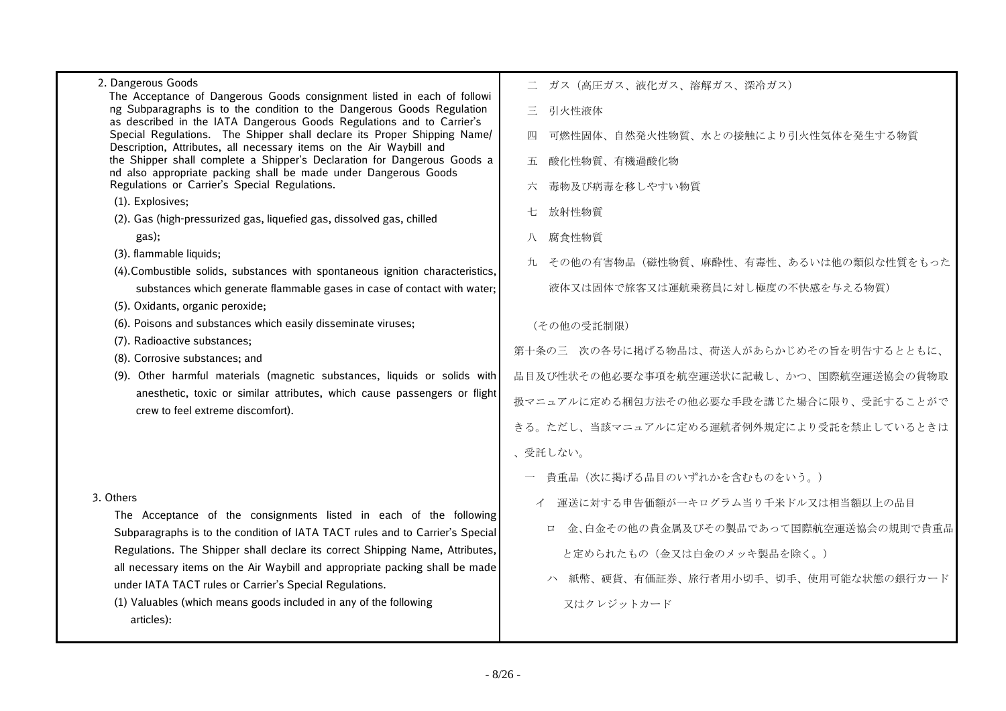| 2. Dangerous Goods                                                                                                                                                                                                       | ガス(高圧ガス、液化ガス、溶解ガス、深冷ガス)                        |  |
|--------------------------------------------------------------------------------------------------------------------------------------------------------------------------------------------------------------------------|------------------------------------------------|--|
| The Acceptance of Dangerous Goods consignment listed in each of followi<br>ng Subparagraphs is to the condition to the Dangerous Goods Regulation                                                                        | 三 引火性液体                                        |  |
| as described in the IATA Dangerous Goods Regulations and to Carrier's<br>Special Regulations. The Shipper shall declare its Proper Shipping Name/<br>Description, Attributes, all necessary items on the Air Waybill and | 可燃性固体、自然発火性物質、水との接触により引火性気体を発生する物質<br>四        |  |
| the Shipper shall complete a Shipper's Declaration for Dangerous Goods a<br>nd also appropriate packing shall be made under Dangerous Goods<br>Regulations or Carrier's Special Regulations.                             | 酸化性物質、有機過酸化物<br>五<br>六 毒物及び病毒を移しやすい物質          |  |
| (1). Explosives;                                                                                                                                                                                                         |                                                |  |
| (2). Gas (high-pressurized gas, liquefied gas, dissolved gas, chilled                                                                                                                                                    | 放射性物質                                          |  |
| gas);                                                                                                                                                                                                                    | 腐食性物質<br>八                                     |  |
| (3). flammable liquids;                                                                                                                                                                                                  | 九 その他の有害物品(磁性物質、麻酔性、有毒性、あるいは他の類似な性質をもった        |  |
| (4). Combustible solids, substances with spontaneous ignition characteristics,                                                                                                                                           |                                                |  |
| substances which generate flammable gases in case of contact with water;                                                                                                                                                 | 液体又は固体で旅客又は運航乗務員に対し極度の不快感を与える物質)               |  |
| (5). Oxidants, organic peroxide;                                                                                                                                                                                         |                                                |  |
| (6). Poisons and substances which easily disseminate viruses;<br>(7). Radioactive substances;                                                                                                                            | (その他の受託制限)                                     |  |
| (8). Corrosive substances; and                                                                                                                                                                                           | 第十条の三 次の各号に掲げる物品は、荷送人があらかじめその旨を明告するとともに、       |  |
| (9). Other harmful materials (magnetic substances, liquids or solids with                                                                                                                                                | 品目及び性状その他必要な事項を航空運送状に記載し、かつ、国際航空運送協会の貨物取       |  |
| anesthetic, toxic or similar attributes, which cause passengers or flight<br>crew to feel extreme discomfort).                                                                                                           | 扱マニュアルに定める梱包方法その他必要な手段を講じた場合に限り、受託することがで       |  |
|                                                                                                                                                                                                                          | きる。ただし、当該マニュアルに定める運航者例外規定により受託を禁止しているときは       |  |
|                                                                                                                                                                                                                          | 、受託しない。                                        |  |
|                                                                                                                                                                                                                          | 貴重品(次に掲げる品目のいずれかを含むものをいう。)                     |  |
| 3. Others                                                                                                                                                                                                                | イ 運送に対する申告価額が一キログラム当り千米ドル又は相当額以上の品目            |  |
| The Acceptance of the consignments listed in each of the following<br>Subparagraphs is to the condition of IATA TACT rules and to Carrier's Special                                                                      | 金、白金その他の貴金属及びその製品であって国際航空運送協会の規則で貴重品<br>$\Box$ |  |
| Regulations. The Shipper shall declare its correct Shipping Name, Attributes,                                                                                                                                            | と定められたもの(金又は白金のメッキ製品を除く。)                      |  |
| all necessary items on the Air Waybill and appropriate packing shall be made<br>under IATA TACT rules or Carrier's Special Regulations.                                                                                  | ハ 紙幣、硬貨、有価証券、旅行者用小切手、切手、使用可能な状態の銀行カード          |  |
| (1) Valuables (which means goods included in any of the following<br>articles):                                                                                                                                          | 又はクレジットカード                                     |  |
|                                                                                                                                                                                                                          |                                                |  |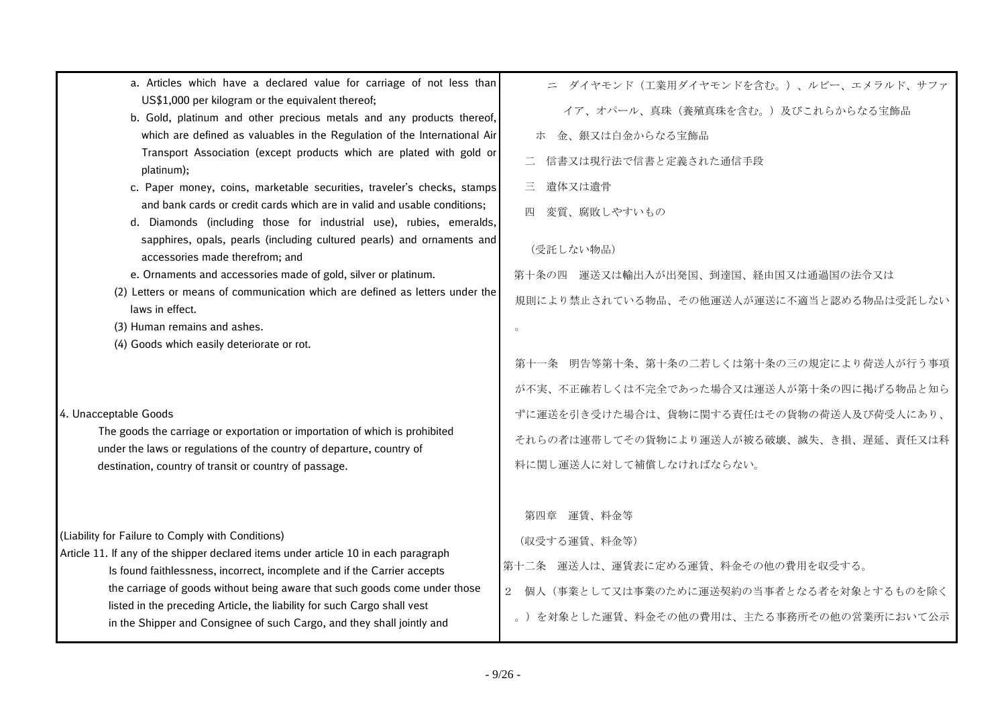| a. Articles which have a declared value for carriage of not less than                                                                                           | ニ ダイヤモンド (工業用ダイヤモンドを含む。)、ルビー、エメラルド、サファ       |
|-----------------------------------------------------------------------------------------------------------------------------------------------------------------|----------------------------------------------|
| US\$1,000 per kilogram or the equivalent thereof;<br>b. Gold, platinum and other precious metals and any products thereof,                                      | イア、オパール、真珠(養殖真珠を含む。)及びこれらからなる宝飾品             |
| which are defined as valuables in the Regulation of the International Air                                                                                       | ホ 金、銀又は白金からなる宝飾品                             |
| Transport Association (except products which are plated with gold or<br>platinum);                                                                              | 信書又は現行法で信書と定義された通信手段                         |
| c. Paper money, coins, marketable securities, traveler's checks, stamps                                                                                         | 三<br>遺体又は遺骨                                  |
| and bank cards or credit cards which are in valid and usable conditions;<br>d. Diamonds (including those for industrial use), rubies, emeralds,                 | 変質、腐敗しやすいもの<br>四                             |
| sapphires, opals, pearls (including cultured pearls) and ornaments and<br>accessories made therefrom; and                                                       | (受託しない物品)                                    |
| e. Ornaments and accessories made of gold, silver or platinum.                                                                                                  | 第十条の四 運送又は輸出入が出発国、到達国、経由国又は通過国の法令又は          |
| (2) Letters or means of communication which are defined as letters under the<br>laws in effect.                                                                 | 規則により禁止されている物品、その他運送人が運送に不適当と認める物品は受託しない     |
| (3) Human remains and ashes.                                                                                                                                    |                                              |
| (4) Goods which easily deteriorate or rot.                                                                                                                      |                                              |
|                                                                                                                                                                 | 明告等第十条、第十条の二若しくは第十条の三の規定により荷送人が行う事項<br>第十一条  |
|                                                                                                                                                                 | が不実、不正確若しくは不完全であった場合又は運送人が第十条の四に掲げる物品と知ら     |
| 4. Unacceptable Goods                                                                                                                                           | ずに運送を引き受けた場合は、貨物に関する責任はその貨物の荷送人及び荷受人にあり、     |
| The goods the carriage or exportation or importation of which is prohibited<br>under the laws or regulations of the country of departure, country of            | それらの者は連帯してその貨物により運送人が被る破壊、滅失、き損、遅延、責任又は科     |
| destination, country of transit or country of passage.                                                                                                          | 料に関し運送人に対して補償しなければならない。                      |
|                                                                                                                                                                 |                                              |
|                                                                                                                                                                 | 第四章 運賃、料金等                                   |
| (Liability for Failure to Comply with Conditions)                                                                                                               | (収受する運賃、料金等)                                 |
| Article 11. If any of the shipper declared items under article 10 in each paragraph<br>Is found faithlessness, incorrect, incomplete and if the Carrier accepts | 第十二条 運送人は、運賃表に定める運賃、料金その他の費用を収受する。           |
| the carriage of goods without being aware that such goods come under those                                                                                      | 個人(事業として又は事業のために運送契約の当事者となる者を対象とするものを除く<br>2 |
| listed in the preceding Article, the liability for such Cargo shall vest<br>in the Shipper and Consignee of such Cargo, and they shall jointly and              | 。)を対象とした運賃、料金その他の費用は、主たる事務所その他の営業所において公示     |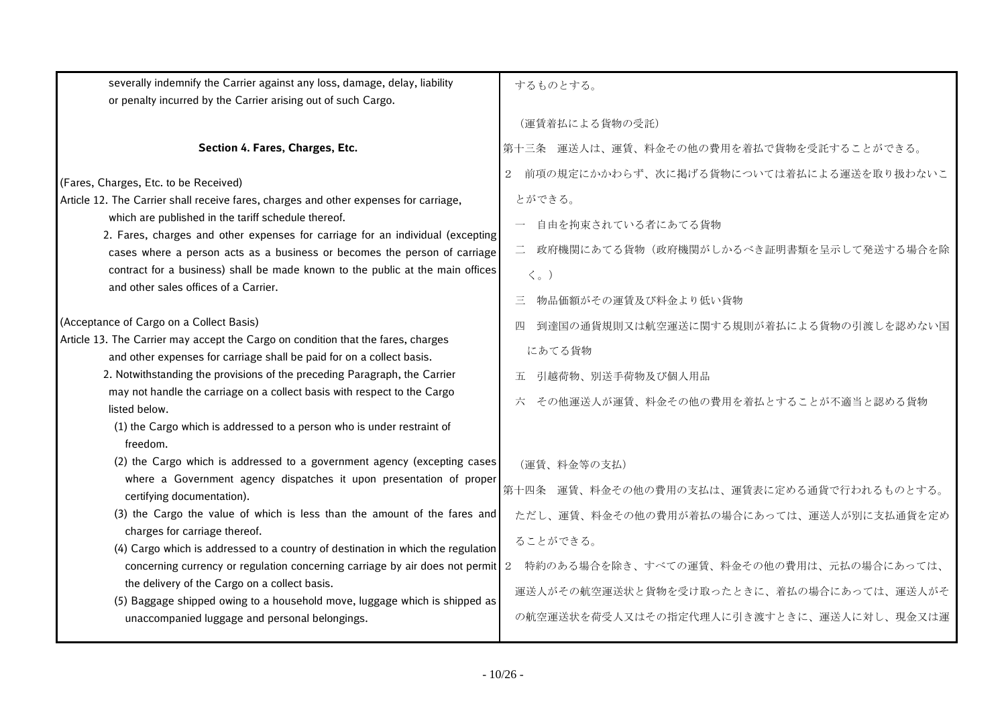| severally indemnify the Carrier against any loss, damage, delay, liability<br>or penalty incurred by the Carrier arising out of such Cargo.                                                                                                                                                                                                                                                                                                                                                                                                                                                                                                      | するものとする。                                                                                                                                                                                                                                                 |
|--------------------------------------------------------------------------------------------------------------------------------------------------------------------------------------------------------------------------------------------------------------------------------------------------------------------------------------------------------------------------------------------------------------------------------------------------------------------------------------------------------------------------------------------------------------------------------------------------------------------------------------------------|----------------------------------------------------------------------------------------------------------------------------------------------------------------------------------------------------------------------------------------------------------|
|                                                                                                                                                                                                                                                                                                                                                                                                                                                                                                                                                                                                                                                  | (運賃着払による貨物の受託)                                                                                                                                                                                                                                           |
| Section 4. Fares, Charges, Etc.                                                                                                                                                                                                                                                                                                                                                                                                                                                                                                                                                                                                                  | 第十三条 運送人は、運賃、料金その他の費用を着払で貨物を受託することができる。                                                                                                                                                                                                                  |
| (Fares, Charges, Etc. to be Received)<br>Article 12. The Carrier shall receive fares, charges and other expenses for carriage,<br>which are published in the tariff schedule thereof.<br>2. Fares, charges and other expenses for carriage for an individual (excepting<br>cases where a person acts as a business or becomes the person of carriage<br>contract for a business) shall be made known to the public at the main offices<br>and other sales offices of a Carrier.                                                                                                                                                                  | 前項の規定にかかわらず、次に掲げる貨物については着払による運送を取り扱わないこ<br>2<br>とができる。<br>自由を拘束されている者にあてる貨物<br>$\equiv$<br>政府機関にあてる貨物(政府機関がしかるべき証明書類を呈示して発送する場合を除<br>$\langle \, \rangle$<br>物品価額がその運賃及び料金より低い貨物                                                                         |
| (Acceptance of Cargo on a Collect Basis)<br>Article 13. The Carrier may accept the Cargo on condition that the fares, charges<br>and other expenses for carriage shall be paid for on a collect basis.<br>2. Notwithstanding the provisions of the preceding Paragraph, the Carrier<br>may not handle the carriage on a collect basis with respect to the Cargo<br>listed below.<br>(1) the Cargo which is addressed to a person who is under restraint of<br>freedom.                                                                                                                                                                           | 到達国の通貨規則又は航空運送に関する規則が着払による貨物の引渡しを認めない国<br>にあてる貨物<br>引越荷物、別送手荷物及び個人用品<br>五.<br>その他運送人が運賃、料金その他の費用を着払とすることが不適当と認める貨物                                                                                                                                       |
| (2) the Cargo which is addressed to a government agency (excepting cases<br>where a Government agency dispatches it upon presentation of proper<br>certifying documentation).<br>(3) the Cargo the value of which is less than the amount of the fares and<br>charges for carriage thereof.<br>(4) Cargo which is addressed to a country of destination in which the regulation<br>concerning currency or regulation concerning carriage by air does not permit<br>the delivery of the Cargo on a collect basis.<br>(5) Baggage shipped owing to a household move, luggage which is shipped as<br>unaccompanied luggage and personal belongings. | (運賃、料金等の支払)<br>第十四条 運賃、料金その他の費用の支払は、運賃表に定める通貨で行われるものとする。<br>ただし、運賃、料金その他の費用が着払の場合にあっては、運送人が別に支払通貨を定め<br>ることができる。<br>特約のある場合を除き、すべての運賃、料金その他の費用は、元払の場合にあっては、<br>2<br>運送人がその航空運送状と貨物を受け取ったときに、着払の場合にあっては、運送人がそ<br>の航空運送状を荷受人又はその指定代理人に引き渡すときに、運送人に対し、現金又は運 |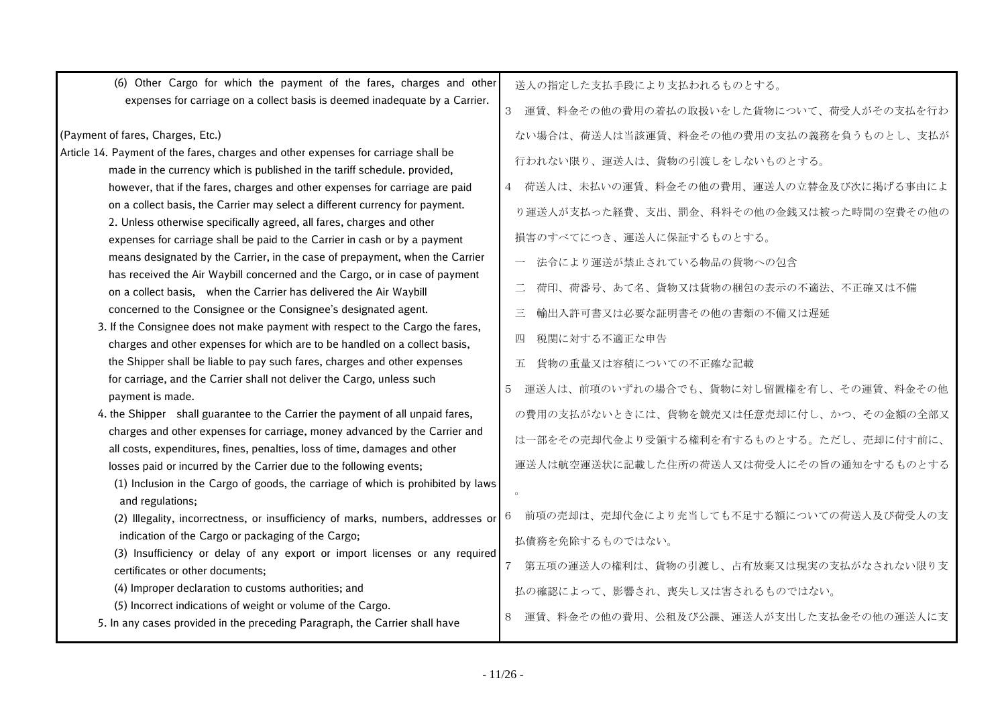| (6) Other Cargo for which the payment of the fares, charges and other                                                                                           | 送人の指定した支払手段により支払われるものとする。                       |
|-----------------------------------------------------------------------------------------------------------------------------------------------------------------|-------------------------------------------------|
| expenses for carriage on a collect basis is deemed inadequate by a Carrier.                                                                                     | 運賃、料金その他の費用の着払の取扱いをした貨物について、荷受人がその支払を行わ<br>3    |
| (Payment of fares, Charges, Etc.)                                                                                                                               | ない場合は、荷送人は当該運賃、料金その他の費用の支払の義務を負うものとし、支払が        |
| Article 14. Payment of the fares, charges and other expenses for carriage shall be<br>made in the currency which is published in the tariff schedule. provided, | 行われない限り、運送人は、貨物の引渡しをしないものとする。                   |
| however, that if the fares, charges and other expenses for carriage are paid                                                                                    | 4 荷送人は、未払いの運賃、料金その他の費用、運送人の立替金及び次に掲げる事由によ       |
| on a collect basis, the Carrier may select a different currency for payment.<br>2. Unless otherwise specifically agreed, all fares, charges and other           | り運送人が支払った経費、支出、罰金、科料その他の金銭又は被った時間の空費その他の        |
| expenses for carriage shall be paid to the Carrier in cash or by a payment                                                                                      | 損害のすべてにつき、運送人に保証するものとする。                        |
| means designated by the Carrier, in the case of prepayment, when the Carrier<br>has received the Air Waybill concerned and the Cargo, or in case of payment     | 法令により運送が禁止されている物品の貨物への包含                        |
| on a collect basis, when the Carrier has delivered the Air Waybill                                                                                              | $\equiv$<br>荷印、荷番号、あて名、貨物又は貨物の梱包の表示の不適法、不正確又は不備 |
| concerned to the Consignee or the Consignee's designated agent.                                                                                                 | 輸出入許可書又は必要な証明書その他の書類の不備又は遅延<br>三                |
| 3. If the Consignee does not make payment with respect to the Cargo the fares,<br>charges and other expenses for which are to be handled on a collect basis,    | 税関に対する不適正な申告<br>四                               |
| the Shipper shall be liable to pay such fares, charges and other expenses                                                                                       | 貨物の重量又は容積についての不正確な記載<br>Ŧī.                     |
| for carriage, and the Carrier shall not deliver the Cargo, unless such<br>payment is made.                                                                      | 運送人は、前項のいずれの場合でも、貨物に対し留置権を有し、その運賃、料金その他<br>5    |
| 4. the Shipper shall guarantee to the Carrier the payment of all unpaid fares,                                                                                  | の費用の支払がないときには、貨物を競売又は任意売却に付し、かつ、その金額の全部又        |
| charges and other expenses for carriage, money advanced by the Carrier and<br>all costs, expenditures, fines, penalties, loss of time, damages and other        | は一部をその売却代金より受領する権利を有するものとする。ただし、売却に付す前に、        |
| losses paid or incurred by the Carrier due to the following events;                                                                                             | 運送人は航空運送状に記載した住所の荷送人又は荷受人にその旨の通知をするものとする        |
| (1) Inclusion in the Cargo of goods, the carriage of which is prohibited by laws<br>and regulations;                                                            |                                                 |
| (2) Illegality, incorrectness, or insufficiency of marks, numbers, addresses or                                                                                 | 前項の売却は、売却代金により充当しても不足する額についての荷送人及び荷受人の支         |
| indication of the Cargo or packaging of the Cargo;                                                                                                              | 払債務を免除するものではない。                                 |
| (3) Insufficiency or delay of any export or import licenses or any required<br>certificates or other documents;                                                 | 第五項の運送人の権利は、貨物の引渡し、占有放棄又は現実の支払がなされない限り支         |
| (4) Improper declaration to customs authorities; and                                                                                                            | 払の確認によって、影響され、喪失し又は害されるものではない。                  |
| (5) Incorrect indications of weight or volume of the Cargo.<br>5. In any cases provided in the preceding Paragraph, the Carrier shall have                      | 運賃、料金その他の費用、公租及び公課、運送人が支出した支払金その他の運送人に支<br>8    |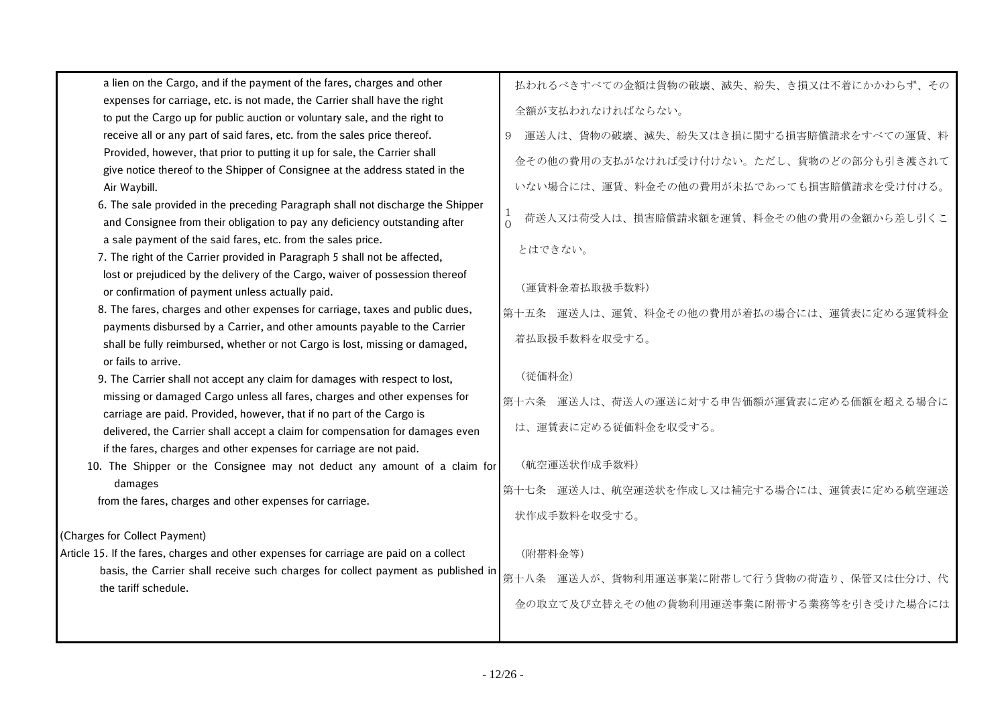| a lien on the Cargo, and if the payment of the fares, charges and other                                                                                | 払われるべきすべての金額は貨物の破壊、滅失、紛失、き損又は不着にかかわらず、その     |
|--------------------------------------------------------------------------------------------------------------------------------------------------------|----------------------------------------------|
| expenses for carriage, etc. is not made, the Carrier shall have the right                                                                              | 全額が支払われなければならない。                             |
| to put the Cargo up for public auction or voluntary sale, and the right to                                                                             |                                              |
| receive all or any part of said fares, etc. from the sales price thereof.                                                                              | 運送人は、貨物の破壊、滅失、紛失又はき損に関する損害賠償請求をすべての運賃、料<br>9 |
| Provided, however, that prior to putting it up for sale, the Carrier shall                                                                             | 金その他の費用の支払がなければ受け付けない。ただし、貨物のどの部分も引き渡されて     |
| give notice thereof to the Shipper of Consignee at the address stated in the                                                                           |                                              |
| Air Waybill.                                                                                                                                           | いない場合には、運賃、料金その他の費用が未払であっても損害賠償請求を受け付ける。     |
| 6. The sale provided in the preceding Paragraph shall not discharge the Shipper                                                                        | 1<br>荷送人又は荷受人は、損害賠償請求額を運賃、料金その他の費用の金額から差し引くこ |
| and Consignee from their obligation to pay any deficiency outstanding after                                                                            | $\Omega$                                     |
| a sale payment of the said fares, etc. from the sales price.                                                                                           | とはできない。                                      |
| 7. The right of the Carrier provided in Paragraph 5 shall not be affected,                                                                             |                                              |
| lost or prejudiced by the delivery of the Cargo, waiver of possession thereof                                                                          | (運賃料金着払取扱手数料)                                |
| or confirmation of payment unless actually paid.                                                                                                       |                                              |
| 8. The fares, charges and other expenses for carriage, taxes and public dues,                                                                          | 第十五条 運送人は、運賃、料金その他の費用が着払の場合には、運賃表に定める運賃料金    |
| payments disbursed by a Carrier, and other amounts payable to the Carrier                                                                              | 着払取扱手数料を収受する。                                |
| shall be fully reimbursed, whether or not Cargo is lost, missing or damaged,                                                                           |                                              |
| or fails to arrive.                                                                                                                                    | (従価料金)                                       |
| 9. The Carrier shall not accept any claim for damages with respect to lost,                                                                            |                                              |
| missing or damaged Cargo unless all fares, charges and other expenses for                                                                              | 第十六条 運送人は、荷送人の運送に対する申告価額が運賃表に定める価額を超える場合に    |
| carriage are paid. Provided, however, that if no part of the Cargo is<br>delivered, the Carrier shall accept a claim for compensation for damages even | は、運賃表に定める従価料金を収受する。                          |
| if the fares, charges and other expenses for carriage are not paid.                                                                                    |                                              |
| 10. The Shipper or the Consignee may not deduct any amount of a claim for                                                                              | (航空運送状作成手数料)                                 |
| damages                                                                                                                                                |                                              |
| from the fares, charges and other expenses for carriage.                                                                                               | 第十七条 運送人は、航空運送状を作成し又は補完する場合には、運賃表に定める航空運送    |
|                                                                                                                                                        | 状作成手数料を収受する。                                 |
| (Charges for Collect Payment)                                                                                                                          |                                              |
| Article 15. If the fares, charges and other expenses for carriage are paid on a collect                                                                | (附帯料金等)                                      |
| basis, the Carrier shall receive such charges for collect payment as published in                                                                      |                                              |
| the tariff schedule.                                                                                                                                   | 第十八条 運送人が、貨物利用運送事業に附帯して行う貨物の荷造り、保管又は仕分け、代    |
|                                                                                                                                                        | 金の取立て及び立替えその他の貨物利用運送事業に附帯する業務等を引き受けた場合には     |
|                                                                                                                                                        |                                              |
|                                                                                                                                                        |                                              |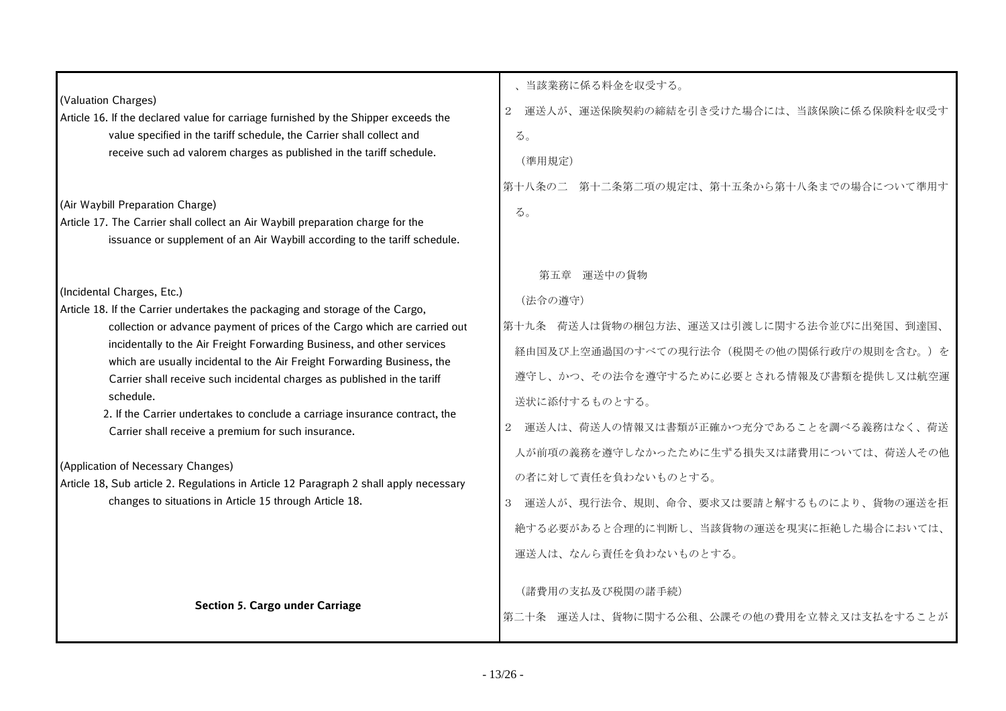|                                                                                                                                                     | 、当該業務に係る料金を収受する。                                          |
|-----------------------------------------------------------------------------------------------------------------------------------------------------|-----------------------------------------------------------|
| (Valuation Charges)<br>Article 16. If the declared value for carriage furnished by the Shipper exceeds the                                          | $\overline{2}$<br>運送人が、運送保険契約の締結を引き受けた場合には、当該保険に係る保険料を収受す |
| value specified in the tariff schedule, the Carrier shall collect and                                                                               | る。                                                        |
| receive such ad valorem charges as published in the tariff schedule.                                                                                | (準用規定)                                                    |
|                                                                                                                                                     |                                                           |
| (Air Waybill Preparation Charge)                                                                                                                    | 第十八条の二 第十二条第二項の規定は、第十五条から第十八条までの場合について準用す                 |
| Article 17. The Carrier shall collect an Air Waybill preparation charge for the                                                                     | る。                                                        |
| issuance or supplement of an Air Waybill according to the tariff schedule.                                                                          |                                                           |
|                                                                                                                                                     | 第五章 運送中の貨物                                                |
| (Incidental Charges, Etc.)                                                                                                                          |                                                           |
| Article 18. If the Carrier undertakes the packaging and storage of the Cargo,                                                                       | (法令の遵守)                                                   |
| collection or advance payment of prices of the Cargo which are carried out                                                                          | 第十九条 荷送人は貨物の梱包方法、運送又は引渡しに関する法令並びに出発国、到達国、                 |
| incidentally to the Air Freight Forwarding Business, and other services<br>which are usually incidental to the Air Freight Forwarding Business, the | 経由国及び上空通過国のすべての現行法令(税関その他の関係行政庁の規則を含む。)を                  |
| Carrier shall receive such incidental charges as published in the tariff                                                                            | 遵守し、かつ、その法令を遵守するために必要とされる情報及び書類を提供し又は航空運                  |
| schedule.                                                                                                                                           | 送状に添付するものとする。                                             |
| 2. If the Carrier undertakes to conclude a carriage insurance contract, the<br>Carrier shall receive a premium for such insurance.                  | 2 運送人は、荷送人の情報又は書類が正確かつ充分であることを調べる義務はなく、荷送                 |
|                                                                                                                                                     | 人が前項の義務を遵守しなかったために生ずる損失又は諸費用については、荷送人その他                  |
| (Application of Necessary Changes)                                                                                                                  | の者に対して責任を負わないものとする。                                       |
| Article 18, Sub article 2. Regulations in Article 12 Paragraph 2 shall apply necessary                                                              |                                                           |
| changes to situations in Article 15 through Article 18.                                                                                             | 3 運送人が、現行法令、規則、命令、要求又は要請と解するものにより、貨物の運送を拒                 |
|                                                                                                                                                     | 絶する必要があると合理的に判断し、当該貨物の運送を現実に拒絶した場合においては、                  |
|                                                                                                                                                     | 運送人は、なんら責任を負わないものとする。                                     |
|                                                                                                                                                     |                                                           |
| <b>Section 5. Cargo under Carriage</b>                                                                                                              | (諸費用の支払及び税関の諸手続)                                          |
|                                                                                                                                                     | 第二十条 運送人は、貨物に関する公租、公課その他の費用を立替え又は支払をすることが                 |
|                                                                                                                                                     |                                                           |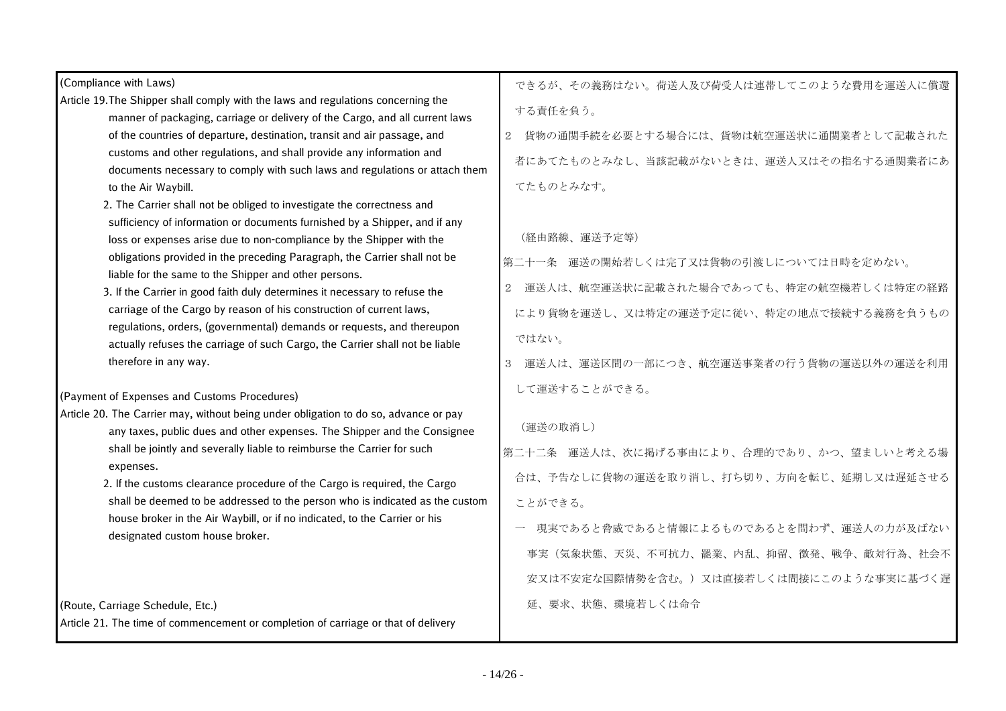| (Compliance with Laws)                                                                                                                            | できるが、その義務はない。荷送人及び荷受人は連帯してこのような費用を運送人に償還                  |
|---------------------------------------------------------------------------------------------------------------------------------------------------|-----------------------------------------------------------|
| Article 19. The Shipper shall comply with the laws and regulations concerning the                                                                 | する責任を負う。                                                  |
| manner of packaging, carriage or delivery of the Cargo, and all current laws                                                                      |                                                           |
| of the countries of departure, destination, transit and air passage, and                                                                          | 貨物の通関手続を必要とする場合には、貨物は航空運送状に通関業者として記載された<br>2 <sup>1</sup> |
| customs and other regulations, and shall provide any information and                                                                              | 者にあてたものとみなし、当該記載がないときは、運送人又はその指名する通関業者にあ                  |
| documents necessary to comply with such laws and regulations or attach them                                                                       |                                                           |
| to the Air Waybill.                                                                                                                               | てたものとみなす。                                                 |
| 2. The Carrier shall not be obliged to investigate the correctness and                                                                            |                                                           |
| sufficiency of information or documents furnished by a Shipper, and if any                                                                        | (経由路線、運送予定等)                                              |
| loss or expenses arise due to non-compliance by the Shipper with the<br>obligations provided in the preceding Paragraph, the Carrier shall not be |                                                           |
| liable for the same to the Shipper and other persons.                                                                                             | 第二十一条 運送の開始若しくは完了又は貨物の引渡しについては日時を定めない。                    |
| 3. If the Carrier in good faith duly determines it necessary to refuse the                                                                        | 運送人は、航空運送状に記載された場合であっても、特定の航空機若しくは特定の経路                   |
| carriage of the Cargo by reason of his construction of current laws,                                                                              | により貨物を運送し、又は特定の運送予定に従い、特定の地点で接続する義務を負うもの                  |
| regulations, orders, (governmental) demands or requests, and thereupon                                                                            | ではない。                                                     |
| actually refuses the carriage of such Cargo, the Carrier shall not be liable<br>therefore in any way.                                             |                                                           |
|                                                                                                                                                   | 運送人は、運送区間の一部につき、航空運送事業者の行う貨物の運送以外の運送を利用                   |
| (Payment of Expenses and Customs Procedures)                                                                                                      | して運送することができる。                                             |
| Article 20. The Carrier may, without being under obligation to do so, advance or pay                                                              |                                                           |
| any taxes, public dues and other expenses. The Shipper and the Consignee                                                                          | (運送の取消し)                                                  |
| shall be jointly and severally liable to reimburse the Carrier for such                                                                           | 第二十二条 運送人は、次に掲げる事由により、合理的であり、かつ、望ましいと考える場                 |
| expenses.<br>2. If the customs clearance procedure of the Cargo is required, the Cargo                                                            | 合は、予告なしに貨物の運送を取り消し、打ち切り、方向を転じ、延期し又は遅延させる                  |
| shall be deemed to be addressed to the person who is indicated as the custom                                                                      | ことができる。                                                   |
| house broker in the Air Waybill, or if no indicated, to the Carrier or his                                                                        |                                                           |
| designated custom house broker.                                                                                                                   | 現実であると脅威であると情報によるものであるとを問わず、運送人の力が及ばない                    |
|                                                                                                                                                   | 事実(気象状態、天災、不可抗力、罷業、内乱、抑留、徴発、戦争、敵対行為、社会不                   |
|                                                                                                                                                   | 安又は不安定な国際情勢を含む。)又は直接若しくは間接にこのような事実に基づく遅                   |
| (Route, Carriage Schedule, Etc.)                                                                                                                  | 延、要求、状態、環境若しくは命令                                          |
| Article 21. The time of commencement or completion of carriage or that of delivery                                                                |                                                           |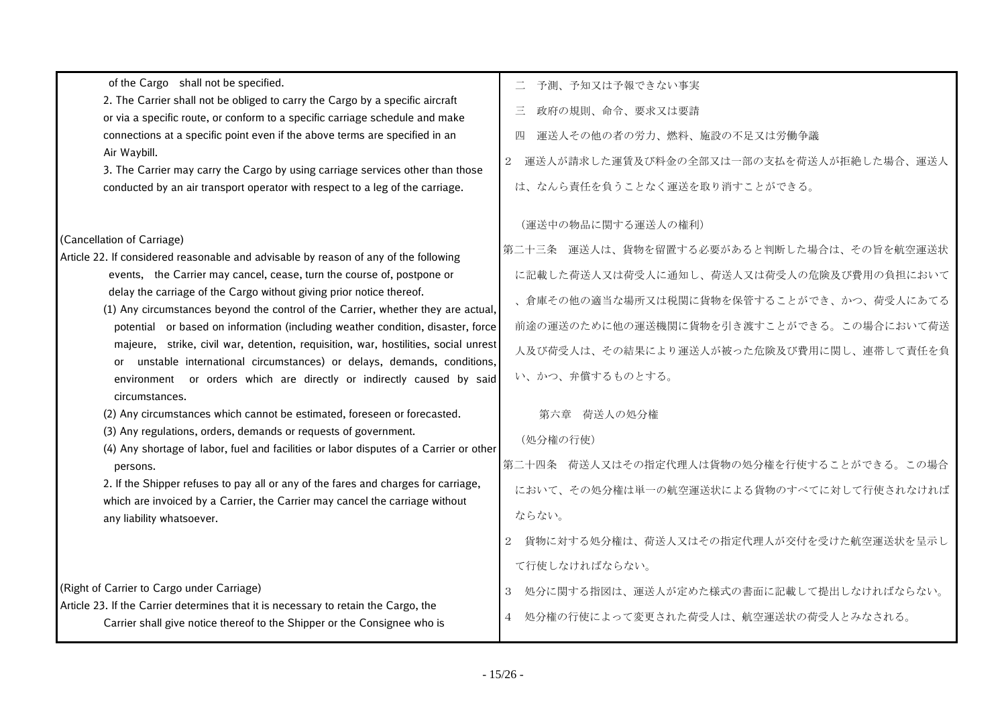| of the Cargo shall not be specified.                                                                                                                                | 予測、予知又は予報できない事実                              |
|---------------------------------------------------------------------------------------------------------------------------------------------------------------------|----------------------------------------------|
| 2. The Carrier shall not be obliged to carry the Cargo by a specific aircraft                                                                                       | Ξ<br>政府の規則、命令、要求又は要請                         |
| or via a specific route, or conform to a specific carriage schedule and make<br>connections at a specific point even if the above terms are specified in an         | 運送人その他の者の労力、燃料、施設の不足又は労働争議<br>匹              |
| Air Waybill.                                                                                                                                                        |                                              |
| 3. The Carrier may carry the Cargo by using carriage services other than those                                                                                      | 運送人が請求した運賃及び料金の全部又は一部の支払を荷送人が拒絶した場合、運送人<br>2 |
| conducted by an air transport operator with respect to a leg of the carriage.                                                                                       | は、なんら責任を負うことなく運送を取り消すことができる。                 |
|                                                                                                                                                                     | (運送中の物品に関する運送人の権利)                           |
| (Cancellation of Carriage)                                                                                                                                          | 第二十三条 運送人は、貨物を留置する必要があると判断した場合は、その旨を航空運送状    |
| Article 22. If considered reasonable and advisable by reason of any of the following                                                                                |                                              |
| events, the Carrier may cancel, cease, turn the course of, postpone or<br>delay the carriage of the Cargo without giving prior notice thereof.                      | に記載した荷送人又は荷受人に通知し、荷送人又は荷受人の危険及び費用の負担において     |
| (1) Any circumstances beyond the control of the Carrier, whether they are actual,                                                                                   | 、倉庫その他の適当な場所又は税関に貨物を保管することができ、かつ、荷受人にあてる     |
| potential or based on information (including weather condition, disaster, force                                                                                     | 前途の運送のために他の運送機関に貨物を引き渡すことができる。この場合において荷送     |
| majeure, strike, civil war, detention, requisition, war, hostilities, social unrest                                                                                 | 人及び荷受人は、その結果により運送人が被った危険及び費用に関し、連帯して責任を負     |
| or unstable international circumstances) or delays, demands, conditions,<br>environment or orders which are directly or indirectly caused by said<br>circumstances. | い、かつ、弁償するものとする。                              |
| (2) Any circumstances which cannot be estimated, foreseen or forecasted.                                                                                            | 第六章 荷送人の処分権                                  |
| (3) Any regulations, orders, demands or requests of government.<br>(4) Any shortage of labor, fuel and facilities or labor disputes of a Carrier or other           | (処分権の行使)                                     |
| persons.                                                                                                                                                            | 第二十四条 荷送人又はその指定代理人は貨物の処分権を行使することができる。この場合    |
| 2. If the Shipper refuses to pay all or any of the fares and charges for carriage,                                                                                  | において、その処分権は単一の航空運送状による貨物のすべてに対して行使されなければ     |
| which are invoiced by a Carrier, the Carrier may cancel the carriage without<br>any liability whatsoever.                                                           | ならない。                                        |
|                                                                                                                                                                     |                                              |
|                                                                                                                                                                     | 貨物に対する処分権は、荷送人又はその指定代理人が交付を受けた航空運送状を呈示し      |
|                                                                                                                                                                     | て行使しなければならない。                                |
| (Right of Carrier to Cargo under Carriage)                                                                                                                          | 処分に関する指図は、運送人が定めた様式の書面に記載して提出しなければならない。<br>3 |
| Article 23. If the Carrier determines that it is necessary to retain the Cargo, the<br>Carrier shall give notice thereof to the Shipper or the Consignee who is     | 処分権の行使によって変更された荷受人は、航空運送状の荷受人とみなされる。         |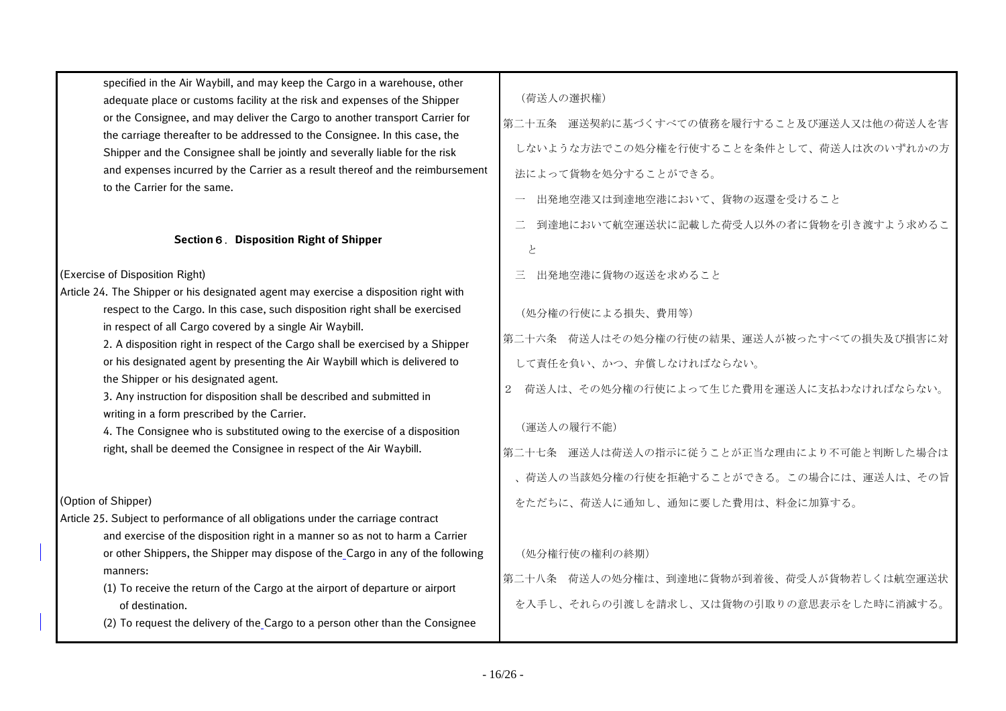| specified in the Air Waybill, and may keep the Cargo in a warehouse, other     |
|--------------------------------------------------------------------------------|
| adequate place or customs facility at the risk and expenses of the Shipper     |
| or the Consignee, and may deliver the Cargo to another transport Carrier for   |
| the carriage thereafter to be addressed to the Consignee. In this case, the    |
| Shipper and the Consignee shall be jointly and severally liable for the risk   |
| and expenses incurred by the Carrier as a result thereof and the reimbursement |
| to the Carrier for the same.                                                   |

#### **Section**6.**Disposition Right of Shipper**

(Exercise of Disposition Right)

|       | Article 24. The Shipper or his designated agent may exercise a disposition right with |
|-------|---------------------------------------------------------------------------------------|
| (処分権  | respect to the Cargo. In this case, such disposition right shall be exercised         |
|       | in respect of all Cargo covered by a single Air Waybill.                              |
| 第二十六条 | 2. A disposition right in respect of the Cargo shall be exercised by a Shipper        |
| - 青仁  | or his designated agent by presenting the Air Waybill which is delivered to           |

the Shipper or his designated agent.

 3. Any instruction for disposition shall be described and submitted in writing in a form prescribed by the Carrier.

 4. The Consignee who is substituted owing to the exercise of a disposition right, shall be deemed the Consignee in respect of the Air Waybill.

## (Option of Shipper)

Article 25. Subject to performance of all obligations under the carriage contract and exercise of the disposition right in a manner so as not to harm a Carrier or other Shippers, the Shipper may dispose of the Cargo in any of the following manners:

> (1) To receive the return of the Cargo at the airport of departure or airport of destination.

(2) To request the delivery of the Cargo to a person other than the Consignee

第二十五条 運送契約に基づくすべての債務を履行すること及び運送人又は他の荷送人を害 しないような方法でこの処分権を行使することを条件として、荷送人は次のいずれかの方 法によって貨物を処分することができる。

一 出発地空港又は到達地空港において、貨物の返還を受けること

- 二 到達地において航空運送状に記載した荷受人以外の者に貨物を引き渡すよう求めるこ と
- 三 出発地空港に貨物の返送を求めること

(処分権の行使による損失、費用等)

第二十六条 荷送人はその処分権の行使の結果、運送人が被ったすべての損失及び損害に対 して責任を負い、かつ、弁償しなければならない。

2 荷送人は、その処分権の行使によって生じた費用を運送人に支払わなければならない。

# (運送人の履行不能)

第二十七条 運送人は荷送人の指示に従うことが正当な理由により不可能と判断した場合は 、荷送人の当該処分権の行使を拒絶することができる。この場合には、運送人は、その旨 をただちに、荷送人に通知し、通知に要した費用は、料金に加算する。

# (処分権行使の権利の終期)

第二十八条 荷送人の処分権は、到達地に貨物が到着後、荷受人が貨物若しくは航空運送状 を入手し、それらの引渡しを請求し、又は貨物の引取りの意思表示をした時に消滅する。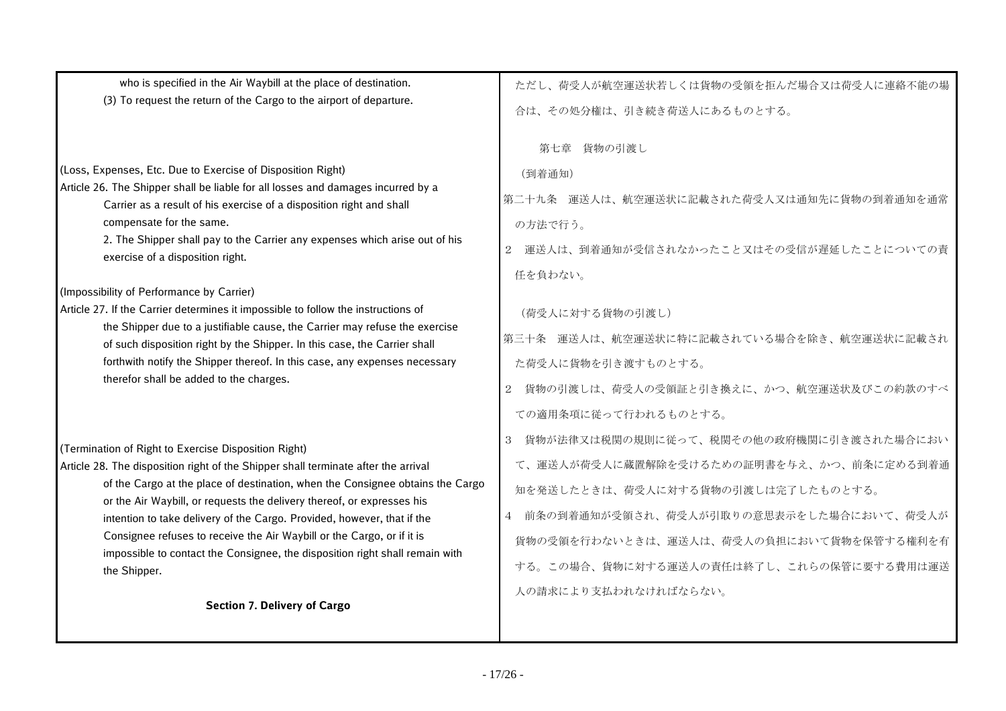| who is specified in the Air Waybill at the place of destination.<br>(3) To request the return of the Cargo to the airport of departure.                                                                                                                                                                                                                                                                                                                                                                                                                                                                                                                              | ただし、荷受人が航空運送状若しくは貨物の受領を拒んだ場合又は荷受人に連絡不能の場<br>合は、その処分権は、引き続き荷送人にあるものとする。                                                                                                                                                                                                                      |
|----------------------------------------------------------------------------------------------------------------------------------------------------------------------------------------------------------------------------------------------------------------------------------------------------------------------------------------------------------------------------------------------------------------------------------------------------------------------------------------------------------------------------------------------------------------------------------------------------------------------------------------------------------------------|---------------------------------------------------------------------------------------------------------------------------------------------------------------------------------------------------------------------------------------------------------------------------------------------|
| (Loss, Expenses, Etc. Due to Exercise of Disposition Right)<br>Article 26. The Shipper shall be liable for all losses and damages incurred by a<br>Carrier as a result of his exercise of a disposition right and shall<br>compensate for the same.<br>2. The Shipper shall pay to the Carrier any expenses which arise out of his<br>exercise of a disposition right.<br>(Impossibility of Performance by Carrier)<br>Article 27. If the Carrier determines it impossible to follow the instructions of<br>the Shipper due to a justifiable cause, the Carrier may refuse the exercise<br>of such disposition right by the Shipper. In this case, the Carrier shall | 第七章 貨物の引渡し<br>(到着通知)<br>第二十九条 運送人は、航空運送状に記載された荷受人又は通知先に貨物の到着通知を通常<br>の方法で行う。<br>2 運送人は、到着通知が受信されなかったこと又はその受信が遅延したことについての責<br>任を負わない。<br>(荷受人に対する貨物の引渡し)<br>第三十条 運送人は、航空運送状に特に記載されている場合を除き、航空運送状に記載され                                                                                        |
| forthwith notify the Shipper thereof. In this case, any expenses necessary<br>therefor shall be added to the charges.                                                                                                                                                                                                                                                                                                                                                                                                                                                                                                                                                | た荷受人に貨物を引き渡すものとする。<br>貨物の引渡しは、荷受人の受領証と引き換えに、かつ、航空運送状及びこの約款のすべ<br>2<br>ての適用条項に従って行われるものとする。                                                                                                                                                                                                  |
| (Termination of Right to Exercise Disposition Right)<br>Article 28. The disposition right of the Shipper shall terminate after the arrival<br>of the Cargo at the place of destination, when the Consignee obtains the Cargo<br>or the Air Waybill, or requests the delivery thereof, or expresses his<br>intention to take delivery of the Cargo. Provided, however, that if the<br>Consignee refuses to receive the Air Waybill or the Cargo, or if it is<br>impossible to contact the Consignee, the disposition right shall remain with<br>the Shipper.                                                                                                          | 貨物が法律又は税関の規則に従って、税関その他の政府機関に引き渡された場合におい<br>3<br>て、運送人が荷受人に蔵置解除を受けるための証明書を与え、かつ、前条に定める到着通<br>知を発送したときは、荷受人に対する貨物の引渡しは完了したものとする。<br>4 前条の到着通知が受領され、荷受人が引取りの意思表示をした場合において、荷受人が<br>貨物の受領を行わないときは、運送人は、荷受人の負担において貨物を保管する権利を有<br>する。この場合、貨物に対する運送人の責任は終了し、これらの保管に要する費用は運送<br>人の請求により支払われなければならない。 |
| <b>Section 7. Delivery of Cargo</b>                                                                                                                                                                                                                                                                                                                                                                                                                                                                                                                                                                                                                                  |                                                                                                                                                                                                                                                                                             |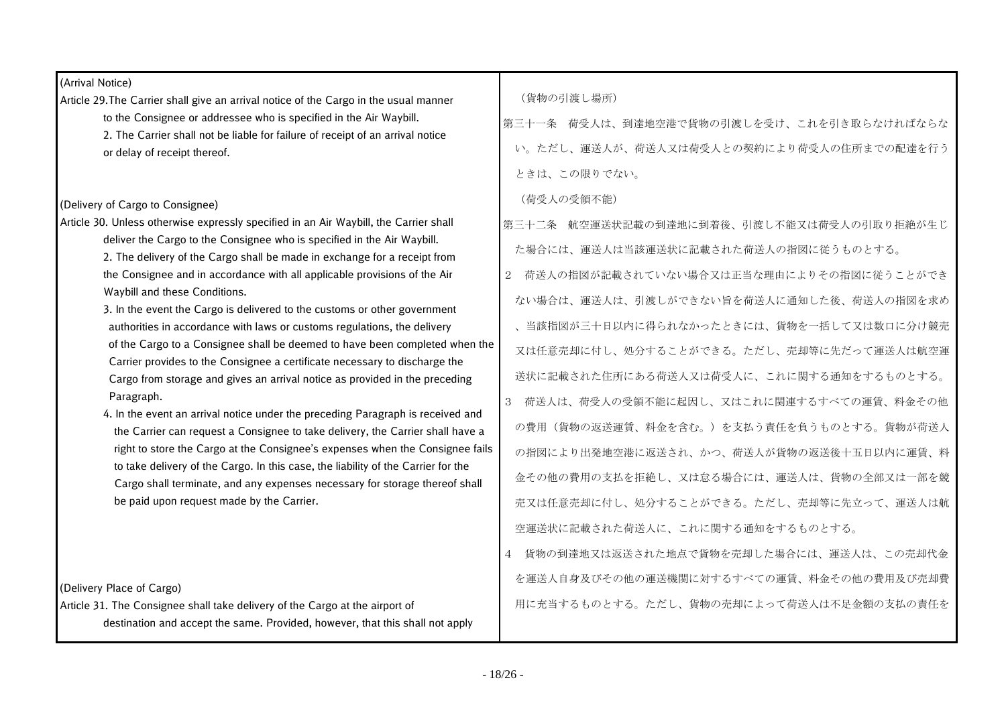| (Arrival Notice)                                                                                                                                                 |                                           |
|------------------------------------------------------------------------------------------------------------------------------------------------------------------|-------------------------------------------|
| Article 29. The Carrier shall give an arrival notice of the Cargo in the usual manner                                                                            | (貨物の引渡し場所)                                |
| to the Consignee or addressee who is specified in the Air Waybill.                                                                                               | 第三十一条 荷受人は、到達地空港で貨物の引渡しを受け、これを引き取らなければならな |
| 2. The Carrier shall not be liable for failure of receipt of an arrival notice                                                                                   | い。ただし、運送人が、荷送人又は荷受人との契約により荷受人の住所までの配達を行う  |
| or delay of receipt thereof.                                                                                                                                     |                                           |
|                                                                                                                                                                  | ときは、この限りでない。                              |
| (Delivery of Cargo to Consignee)                                                                                                                                 | (荷受人の受領不能)                                |
| Article 30. Unless otherwise expressly specified in an Air Waybill, the Carrier shall                                                                            | 第三十二条 航空運送状記載の到達地に到着後、引渡し不能又は荷受人の引取り拒絶が生じ |
| deliver the Cargo to the Consignee who is specified in the Air Waybill.                                                                                          |                                           |
| 2. The delivery of the Cargo shall be made in exchange for a receipt from                                                                                        | た場合には、運送人は当該運送状に記載された荷送人の指図に従うものとする。      |
| the Consignee and in accordance with all applicable provisions of the Air                                                                                        | 2 荷送人の指図が記載されていない場合又は正当な理由によりその指図に従うことができ |
| Waybill and these Conditions.                                                                                                                                    | ない場合は、運送人は、引渡しができない旨を荷送人に通知した後、荷送人の指図を求め  |
| 3. In the event the Cargo is delivered to the customs or other government                                                                                        |                                           |
| authorities in accordance with laws or customs regulations, the delivery                                                                                         | 、当該指図が三十日以内に得られなかったときには、貨物を一括して又は数口に分け競売  |
| of the Cargo to a Consignee shall be deemed to have been completed when the                                                                                      | 又は任意売却に付し、処分することができる。ただし、売却等に先だって運送人は航空運  |
| Carrier provides to the Consignee a certificate necessary to discharge the                                                                                       |                                           |
| Cargo from storage and gives an arrival notice as provided in the preceding                                                                                      | 送状に記載された住所にある荷送人又は荷受人に、これに関する通知をするものとする。  |
| Paragraph.                                                                                                                                                       | 3 荷送人は、荷受人の受領不能に起因し、又はこれに関連するすべての運賃、料金その他 |
| 4. In the event an arrival notice under the preceding Paragraph is received and                                                                                  | の費用(貨物の返送運賃、料金を含む。)を支払う責任を負うものとする。貨物が荷送人  |
| the Carrier can request a Consignee to take delivery, the Carrier shall have a                                                                                   |                                           |
| right to store the Cargo at the Consignee's expenses when the Consignee fails                                                                                    | の指図により出発地空港に返送され、かつ、荷送人が貨物の返送後十五日以内に運賃、料  |
| to take delivery of the Cargo. In this case, the liability of the Carrier for the<br>Cargo shall terminate, and any expenses necessary for storage thereof shall | 金その他の費用の支払を拒絶し、又は怠る場合には、運送人は、貨物の全部又は一部を競  |
| be paid upon request made by the Carrier.                                                                                                                        | 売又は任意売却に付し、処分することができる。ただし、売却等に先立って、運送人は航  |
|                                                                                                                                                                  |                                           |
|                                                                                                                                                                  | 空運送状に記載された荷送人に、これに関する通知をするものとする。          |
|                                                                                                                                                                  | 4 貨物の到達地又は返送された地点で貨物を売却した場合には、運送人は、この売却代金 |
|                                                                                                                                                                  | を運送人自身及びその他の運送機関に対するすべての運賃、料金その他の費用及び売却費  |
| (Delivery Place of Cargo)                                                                                                                                        |                                           |
| Article 31. The Consignee shall take delivery of the Cargo at the airport of                                                                                     | 用に充当するものとする。ただし、貨物の売却によって荷送人は不足金額の支払の責任を  |
| destination and accept the same. Provided, however, that this shall not apply                                                                                    |                                           |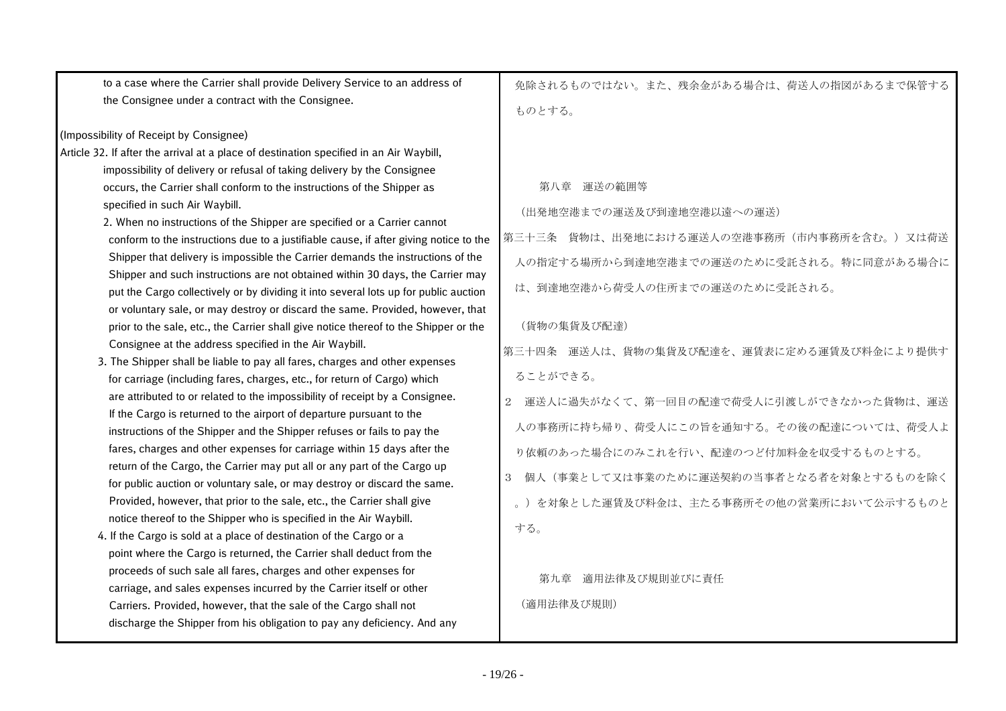| to a case where the Carrier shall provide Delivery Service to an address of<br>the Consignee under a contract with the Consignee.                                                                                                                                                                                                                                                                                                                                                                                                                                                                                                                                                                                                                                                                                                                                                                                                                                                                                                                                                                                                                                                                                                                                                                                                                                                                                                                                                                                                                                                                                                                                                                                                                                                                                                                                                                                                                                                                                                                                                                                                                   | 免除されるものではない。また、残余金がある場合は、荷送人の指図があるまで保管する<br>ものとする。                                                                                                                                                                                                                                                                                                                                                                                                                                                                                     |
|-----------------------------------------------------------------------------------------------------------------------------------------------------------------------------------------------------------------------------------------------------------------------------------------------------------------------------------------------------------------------------------------------------------------------------------------------------------------------------------------------------------------------------------------------------------------------------------------------------------------------------------------------------------------------------------------------------------------------------------------------------------------------------------------------------------------------------------------------------------------------------------------------------------------------------------------------------------------------------------------------------------------------------------------------------------------------------------------------------------------------------------------------------------------------------------------------------------------------------------------------------------------------------------------------------------------------------------------------------------------------------------------------------------------------------------------------------------------------------------------------------------------------------------------------------------------------------------------------------------------------------------------------------------------------------------------------------------------------------------------------------------------------------------------------------------------------------------------------------------------------------------------------------------------------------------------------------------------------------------------------------------------------------------------------------------------------------------------------------------------------------------------------------|----------------------------------------------------------------------------------------------------------------------------------------------------------------------------------------------------------------------------------------------------------------------------------------------------------------------------------------------------------------------------------------------------------------------------------------------------------------------------------------------------------------------------------------|
| (Impossibility of Receipt by Consignee)<br>Article 32. If after the arrival at a place of destination specified in an Air Waybill,<br>impossibility of delivery or refusal of taking delivery by the Consignee<br>occurs, the Carrier shall conform to the instructions of the Shipper as<br>specified in such Air Waybill.<br>2. When no instructions of the Shipper are specified or a Carrier cannot<br>conform to the instructions due to a justifiable cause, if after giving notice to the<br>Shipper that delivery is impossible the Carrier demands the instructions of the<br>Shipper and such instructions are not obtained within 30 days, the Carrier may<br>put the Cargo collectively or by dividing it into several lots up for public auction<br>or voluntary sale, or may destroy or discard the same. Provided, however, that<br>prior to the sale, etc., the Carrier shall give notice thereof to the Shipper or the<br>Consignee at the address specified in the Air Waybill.<br>3. The Shipper shall be liable to pay all fares, charges and other expenses<br>for carriage (including fares, charges, etc., for return of Cargo) which<br>are attributed to or related to the impossibility of receipt by a Consignee.<br>If the Cargo is returned to the airport of departure pursuant to the<br>instructions of the Shipper and the Shipper refuses or fails to pay the<br>fares, charges and other expenses for carriage within 15 days after the<br>return of the Cargo, the Carrier may put all or any part of the Cargo up<br>for public auction or voluntary sale, or may destroy or discard the same.<br>Provided, however, that prior to the sale, etc., the Carrier shall give<br>notice thereof to the Shipper who is specified in the Air Waybill.<br>4. If the Cargo is sold at a place of destination of the Cargo or a<br>point where the Cargo is returned, the Carrier shall deduct from the<br>proceeds of such sale all fares, charges and other expenses for<br>carriage, and sales expenses incurred by the Carrier itself or other<br>Carriers. Provided, however, that the sale of the Cargo shall not | 第八章 運送の範囲等<br>(出発地空港までの運送及び到達地空港以遠への運送)<br>第三十三条 貨物は、出発地における運送人の空港事務所(市内事務所を含む。)又は荷送<br>人の指定する場所から到達地空港までの運送のために受託される。特に同意がある場合に<br>は、到達地空港から荷受人の住所までの運送のために受託される。<br>(貨物の集貨及び配達)<br>第三十四条 運送人は、貨物の集貨及び配達を、運賃表に定める運賃及び料金により提供す<br>ることができる。<br>運送人に過失がなくて、第一回目の配達で荷受人に引渡しができなかった貨物は、運送<br>$\overline{2}$<br>人の事務所に持ち帰り、荷受人にこの旨を通知する。その後の配達については、荷受人よ<br>り依頼のあった場合にのみこれを行い、配達のつど付加料金を収受するものとする。<br>個人(事業として又は事業のために運送契約の当事者となる者を対象とするものを除く<br>3<br>。)を対象とした運賃及び料金は、主たる事務所その他の営業所において公示するものと<br>する。<br>適用法律及び規則並びに責任<br>第九章<br>(適用法律及び規則) |
| discharge the Shipper from his obligation to pay any deficiency. And any                                                                                                                                                                                                                                                                                                                                                                                                                                                                                                                                                                                                                                                                                                                                                                                                                                                                                                                                                                                                                                                                                                                                                                                                                                                                                                                                                                                                                                                                                                                                                                                                                                                                                                                                                                                                                                                                                                                                                                                                                                                                            |                                                                                                                                                                                                                                                                                                                                                                                                                                                                                                                                        |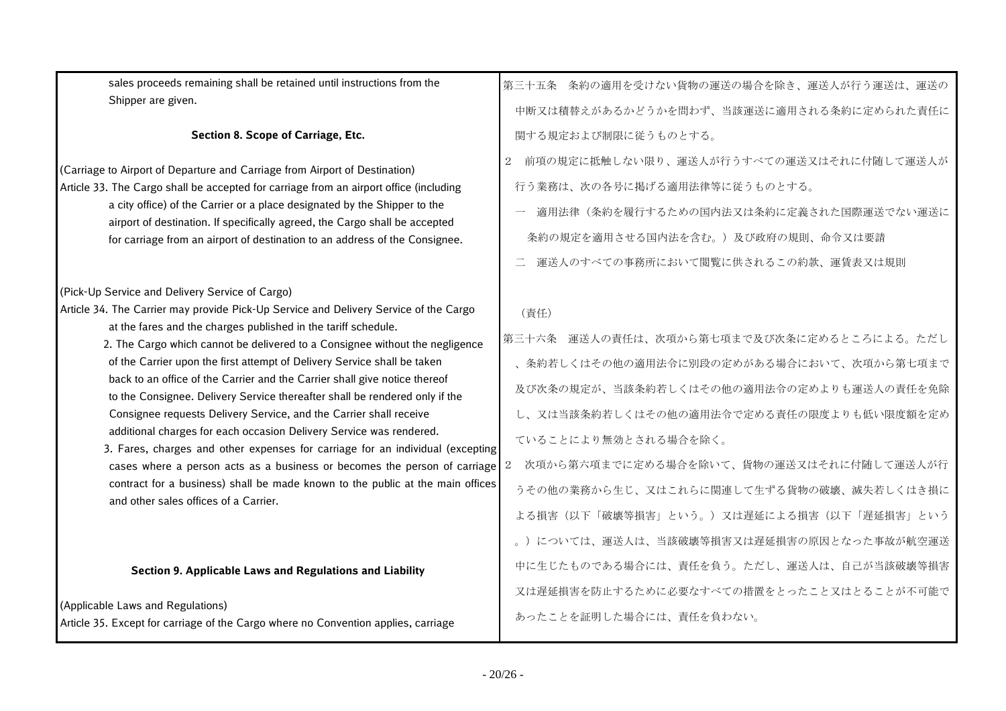| sales proceeds remaining shall be retained until instructions from the                                                                                     | 第三十五条 条約の適用を受けない貨物の運送の場合を除き、運送人が行う運送は、運送の    |
|------------------------------------------------------------------------------------------------------------------------------------------------------------|----------------------------------------------|
| Shipper are given.                                                                                                                                         | 中断又は積替えがあるかどうかを問わず、当該運送に適用される条約に定められた責任に     |
| Section 8. Scope of Carriage, Etc.                                                                                                                         | 関する規定および制限に従うものとする。                          |
| (Carriage to Airport of Departure and Carriage from Airport of Destination)                                                                                | 前項の規定に抵触しない限り、運送人が行うすべての運送又はそれに付随して運送人が<br>2 |
| Article 33. The Cargo shall be accepted for carriage from an airport office (including                                                                     | 行う業務は、次の各号に掲げる適用法律等に従うものとする。                 |
| a city office) of the Carrier or a place designated by the Shipper to the                                                                                  | 適用法律(条約を履行するための国内法又は条約に定義された国際運送でない運送に       |
| airport of destination. If specifically agreed, the Cargo shall be accepted<br>for carriage from an airport of destination to an address of the Consignee. | 条約の規定を適用させる国内法を含む。)及び政府の規則、命令又は要請            |
|                                                                                                                                                            | 運送人のすべての事務所において閲覧に供されるこの約款、運賃表又は規則           |
| (Pick-Up Service and Delivery Service of Cargo)                                                                                                            |                                              |
| Article 34. The Carrier may provide Pick-Up Service and Delivery Service of the Cargo                                                                      | (責任)                                         |
| at the fares and the charges published in the tariff schedule.<br>2. The Cargo which cannot be delivered to a Consignee without the negligence             | 第三十六条 運送人の責任は、次項から第七項まで及び次条に定めるところによる。ただし    |
| of the Carrier upon the first attempt of Delivery Service shall be taken                                                                                   | 、条約若しくはその他の適用法令に別段の定めがある場合において、次項から第七項まで     |
| back to an office of the Carrier and the Carrier shall give notice thereof<br>to the Consignee. Delivery Service thereafter shall be rendered only if the  | 及び次条の規定が、当該条約若しくはその他の適用法令の定めよりも運送人の責任を免除     |
| Consignee requests Delivery Service, and the Carrier shall receive                                                                                         | し、又は当該条約若しくはその他の適用法令で定める責任の限度よりも低い限度額を定め     |
| additional charges for each occasion Delivery Service was rendered.<br>3. Fares, charges and other expenses for carriage for an individual (excepting      | ていることにより無効とされる場合を除く。                         |
| cases where a person acts as a business or becomes the person of carriage                                                                                  | 次項から第六項までに定める場合を除いて、貨物の運送又はそれに付随して運送人が行<br>2 |
| contract for a business) shall be made known to the public at the main offices<br>and other sales offices of a Carrier.                                    | うその他の業務から生じ、又はこれらに関連して生ずる貨物の破壊、滅失若しくはき損に     |
|                                                                                                                                                            | よる損害(以下「破壊等損害」という。)又は遅延による損害(以下「遅延損害」という     |
|                                                                                                                                                            | 。)については、運送人は、当該破壊等損害又は遅延損害の原因となった事故が航空運送     |
| Section 9. Applicable Laws and Regulations and Liability                                                                                                   | 中に生じたものである場合には、責任を負う。ただし、運送人は、自己が当該破壊等損害     |
|                                                                                                                                                            | 又は遅延損害を防止するために必要なすべての措置をとったこと又はとることが不可能で     |
| (Applicable Laws and Regulations)<br>Article 35. Except for carriage of the Cargo where no Convention applies, carriage                                    | あったことを証明した場合には、責任を負わない。                      |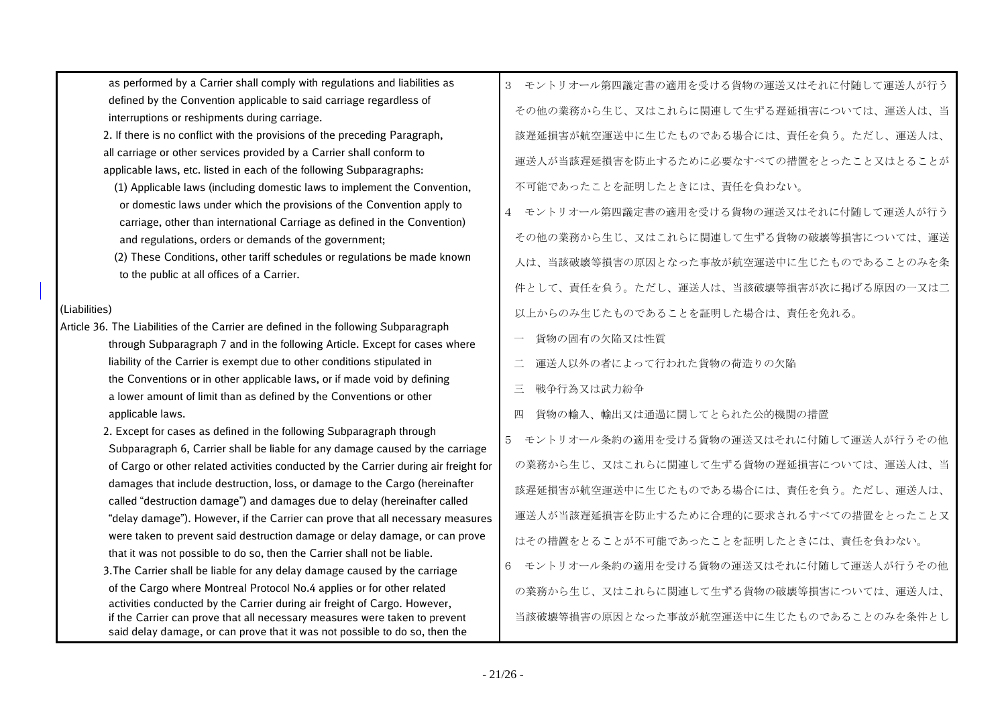as performed by a Carrier shall comply with regulations and liabilities as defined by the Convention applicable to said carriage regardless of interruptions or reshipments during carriage.

2. If there is no conflict with the provisions of the preceding Paragraph, all carriage or other services provided by a Carrier shall conform to applicable laws, etc. listed in each of the following Subparagraphs:

 (1) Applicable laws (including domestic laws to implement the Convention, or domestic laws under which the provisions of the Convention apply to carriage, other than international Carriage as defined in the Convention) and regulations, orders or demands of the government;

 (2) These Conditions, other tariff schedules or regulations be made known to the public at all offices of a Carrier.

#### (Liabilities)

- Article 36. The Liabilities of the Carrier are defined in the following Subparagraph through Subparagraph 7 and in the following Article. Except for cases where liability of the Carrier is exempt due to other conditions stipulated in the Conventions or in other applicable laws, or if made void by defining a lower amount of limit than as defined by the Conventions or other applicable laws.
	- 2. Except for cases as defined in the following Subparagraph through Subparagraph 6, Carrier shall be liable for any damage caused by the carriage of Cargo or other related activities conducted by the Carrier during air freight for damages that include destruction, loss, or damage to the Cargo (hereinafter called "destruction damage") and damages due to delay (hereinafter called "delay damage"). However, if the Carrier can prove that all necessary measures were taken to prevent said destruction damage or delay damage, or can prove that it was not possible to do so, then the Carrier shall not be liable.
	- 3.The Carrier shall be liable for any delay damage caused by the carriage of the Cargo where Montreal Protocol No.4 applies or for other related activities conducted by the Carrier during air freight of Cargo. However, if the Carrier can prove that all necessary measures were taken to prevent said delay damage, or can prove that it was not possible to do so, then the
- 3 モントリオール第四議定書の適用を受ける貨物の運送又はそれに付随して運送人が行う その他の業務から生じ、又はこれらに関連して生ずる遅延損害については、運送人は、当 該遅延損害が航空運送中に生じたものである場合には、責任を負う。ただし、運送人は、 運送人が当該遅延損害を防止するために必要なすべての措置をとったこと又はとることが 不可能であったことを証明したときには、責任を負わない。
- 4 モントリオール第四議定書の適用を受ける貨物の運送又はそれに付随して運送人が行う その他の業務から生じ、又はこれらに関連して生ずる貨物の破壊等損害については、運送 人は、当該破壊等損害の原因となった事故が航空運送中に生じたものであることのみを条 件として、責任を負う。ただし、運送人は、当該破壊等損害が次に掲げる原因の一又は二 以上からのみ生じたものであることを証明した場合は、責任を免れる。
	- 貨物の固有の欠陥又は性質
	- 運送人以外の者によって行われた貨物の荷造りの欠陥
- 三 戦争行為又は武力紛争
- 四 貨物の輸入、輸出又は通過に関してとられた公的機関の措置

5 モントリオール条約の適用を受ける貨物の運送又はそれに付随して運送人が行うその他 の業務から生じ、又はこれらに関連して生ずる貨物の遅延損害については、運送人は、当 該遅延損害が航空運送中に生じたものである場合には、責任を負う。ただし、運送人は、 運送人が当該遅延損害を防止するために合理的に要求されるすべての措置をとったこと又 はその措置をとることが不可能であったことを証明したときには、責任を負わない。 6 モントリオール条約の適用を受ける貨物の運送又はそれに付随して運送人が行うその他 の業務から生じ、又はこれらに関連して生ずる貨物の破壊等損害については、運送人は、

当該破壊等損害の原因となった事故が航空運送中に生じたものであることのみを条件とし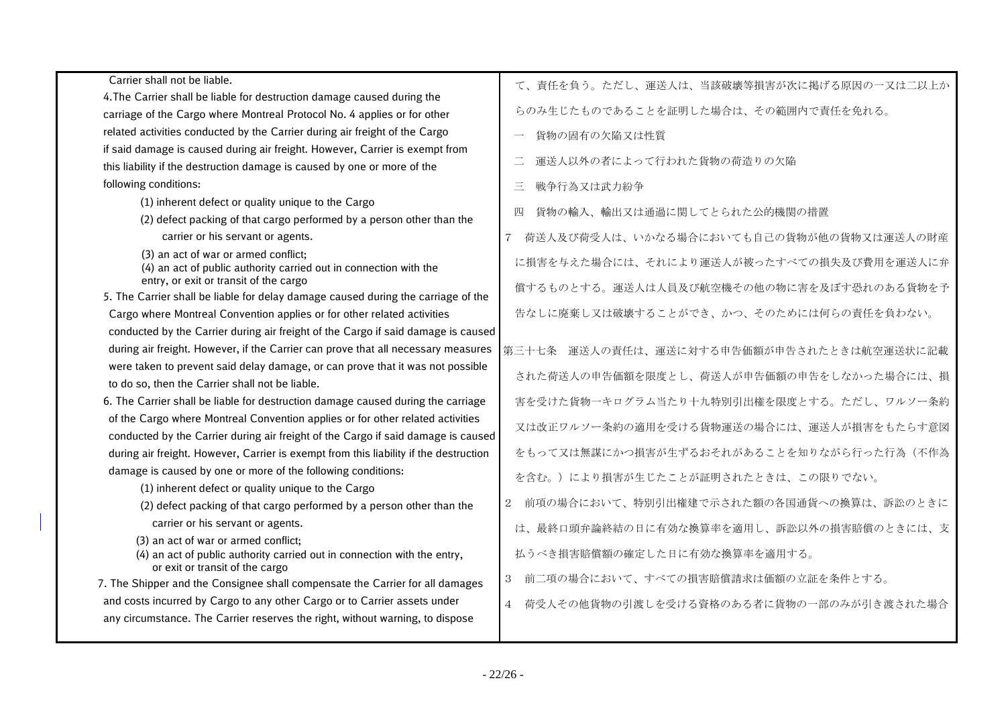| Carrier shall not be liable.                                                                                | て、責任を負う。ただし、運送人は、当該破壊等損害が次に掲げる原因の一又は二以上か          |
|-------------------------------------------------------------------------------------------------------------|---------------------------------------------------|
| 4. The Carrier shall be liable for destruction damage caused during the                                     |                                                   |
| carriage of the Cargo where Montreal Protocol No. 4 applies or for other                                    | らのみ生じたものであることを証明した場合は、その範囲内で責任を免れる。               |
| related activities conducted by the Carrier during air freight of the Cargo                                 | 貨物の固有の欠陥又は性質                                      |
| if said damage is caused during air freight. However, Carrier is exempt from                                |                                                   |
| this liability if the destruction damage is caused by one or more of the                                    | 運送人以外の者によって行われた貨物の荷造りの欠陥                          |
| following conditions:                                                                                       | $\Xi$<br>戦争行為又は武力紛争                               |
| (1) inherent defect or quality unique to the Cargo                                                          | 四                                                 |
| (2) defect packing of that cargo performed by a person other than the                                       | 貨物の輸入、輸出又は通過に関してとられた公的機関の措置                       |
| carrier or his servant or agents.                                                                           | 荷送人及び荷受人は、いかなる場合においても自己の貨物が他の貨物又は運送人の財産<br>$\tau$ |
| (3) an act of war or armed conflict;<br>(4) an act of public authority carried out in connection with the   | に損害を与えた場合には、それにより運送人が被ったすべての損失及び費用を運送人に弁          |
| entry, or exit or transit of the cargo                                                                      | 償するものとする。運送人は人員及び航空機その他の物に害を及ぼす恐れのある貨物を予          |
| 5. The Carrier shall be liable for delay damage caused during the carriage of the                           |                                                   |
| Cargo where Montreal Convention applies or for other related activities                                     | 告なしに廃棄し又は破壊することができ、かつ、そのためには何らの責任を負わない。           |
| conducted by the Carrier during air freight of the Cargo if said damage is caused                           |                                                   |
| during air freight. However, if the Carrier can prove that all necessary measures                           | 第三十七条 運送人の責任は、運送に対する申告価額が申告されたときは航空運送状に記載         |
| were taken to prevent said delay damage, or can prove that it was not possible                              | された荷送人の申告価額を限度とし、荷送人が申告価額の申告をしなかった場合には、損          |
| to do so, then the Carrier shall not be liable.                                                             |                                                   |
| 6. The Carrier shall be liable for destruction damage caused during the carriage                            | 害を受けた貨物一キログラム当たり十九特別引出権を限度とする。ただし、ワルソー条約          |
| of the Cargo where Montreal Convention applies or for other related activities                              | 又は改正ワルソー条約の適用を受ける貨物運送の場合には、運送人が損害をもたらす意図          |
| conducted by the Carrier during air freight of the Cargo if said damage is caused                           |                                                   |
| during air freight. However, Carrier is exempt from this liability if the destruction                       | をもって又は無謀にかつ損害が生ずるおそれがあることを知りながら行った行為(不作為          |
| damage is caused by one or more of the following conditions:                                                | を含む。)により損害が生じたことが証明されたときは、この限りでない。                |
| (1) inherent defect or quality unique to the Cargo                                                          |                                                   |
| (2) defect packing of that cargo performed by a person other than the                                       | 2 前項の場合において、特別引出権建で示された額の各国通貨への換算は、訴訟のときに         |
| carrier or his servant or agents.                                                                           | は、最終口頭弁論終結の日に有効な換算率を適用し、訴訟以外の損害賠償のときには、支          |
| (3) an act of war or armed conflict;                                                                        |                                                   |
| (4) an act of public authority carried out in connection with the entry,<br>or exit or transit of the cargo | 払うべき損害賠償額の確定した日に有効な換算率を適用する。                      |
| 7. The Shipper and the Consignee shall compensate the Carrier for all damages                               | 前二項の場合において、すべての損害賠償請求は価額の立証を条件とする。<br>3           |
| and costs incurred by Cargo to any other Cargo or to Carrier assets under                                   | 4 荷受人その他貨物の引渡しを受ける資格のある者に貨物の一部のみが引き渡された場合         |
| any circumstance. The Carrier reserves the right, without warning, to dispose                               |                                                   |
|                                                                                                             |                                                   |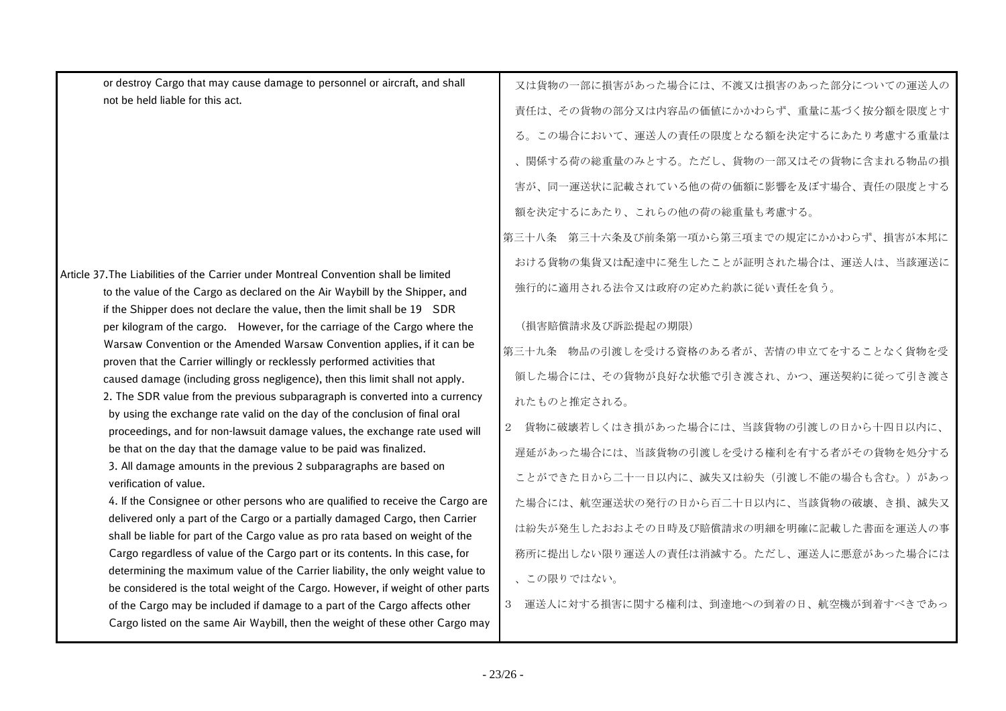or destroy Cargo that may cause damage to personnel or aircraft, and shall not be held liable for this act.

| Article 37.The Liabilities of the Carrier under Montreal Convention shall be limited         | イーリー                     |
|----------------------------------------------------------------------------------------------|--------------------------|
| to the value of the Cargo as declared on the Air Waybill by the Shipper, and                 | 強行                       |
| if the Shipper does not declare the value, then the limit shall be 19 SDR                    |                          |
| per kilogram of the cargo. However, for the carriage of the Cargo where the                  | (損                       |
| Warsaw Convention or the Amended Warsaw Convention applies, if it can be                     | 第三十                      |
| proven that the Carrier willingly or recklessly performed activities that                    |                          |
| caused damage (including gross negligence), then this limit shall not apply.                 | 領し                       |
| 2. The SDR value from the previous subparagraph is converted into a currency                 | れた                       |
| by using the exchange rate valid on the day of the conclusion of final oral                  |                          |
| proceedings, and for non-lawsuit damage values, the exchange rate used will                  | 貨<br>$\overline{2}$      |
| be that on the day that the damage value to be paid was finalized.                           | 遅延                       |
| 3. All damage amounts in the previous 2 subparagraphs are based on<br>verification of value. | こと                       |
| 4. If the Consignee or other persons who are qualified to receive the Cargo are              | た場                       |
| delivered only a part of the Cargo or a partially damaged Cargo, then Carrier                |                          |
| shall be liable for part of the Cargo value as pro rata based on weight of the               | は紛                       |
| Cargo regardless of value of the Cargo part or its contents. In this case, for               | 務所                       |
| determining the maximum value of the Carrier liability, the only weight value to             | $\overline{\phantom{a}}$ |
| be considered is the total weight of the Cargo. However, if weight of other parts            |                          |

of the Cargo may be included if damage to a part of the Cargo affects other Cargo listed on the same Air Waybill, then the weight of these other Cargo may

又は貨物の一部に損害があった場合には、不渡又は損害のあった部分についての運送人の 責任は、その貨物の部分又は内容品の価値にかかわらず、重量に基づく按分額を限度とす る。この場合において、運送人の責任の限度となる額を決定するにあたり考慮する重量は 、関係する荷の総重量のみとする。ただし、貨物の一部又はその貨物に含まれる物品の損 害が、同一運送状に記載されている他の荷の価額に影響を及ぼす場合、責任の限度とする 額を決定するにあたり、これらの他の荷の総重量も考慮する。

第三十八条 第三十六条及び前条第一項から第三項までの規定にかかわらず、損害が本邦に おける貨物の集貨又は配達中に発生したことが証明された場合は、運送人は、当該運送に 強行的に適用される法令又は政府の定めた約款に従い責任を負う。

## (損害賠償請求及び訴訟提起の期限)

第三十九条 物品の引渡しを受ける資格のある者が、苦情の申立てをすることなく貨物を受 た場合には、その貨物が良好な状態で引き渡され、かつ、運送契約に従って引き渡さ ものと推定される。

2 貨物に破壊若しくはき損があった場合には、当該貨物の引渡しの日から十四日以内に、 遅延があった場合には、当該貨物の引渡しを受ける権利を有する者がその貨物を処分する ができた日から二十一日以内に、滅失又は紛失(引渡し不能の場合も含む。)があっ 合には、航空運送状の発行の日から百二十日以内に、当該貨物の破壊、き損、滅失又 は紛失が発生したおおよその日時及び賠償請求の明細を明確に記載した書面を運送人の事 務所に提出しない限り運送人の責任は消滅する。ただし、運送人に悪意があった場合には 、この限りではない。

3 運送人に対する損害に関する権利は、到達地への到着の日、航空機が到着すべきであっ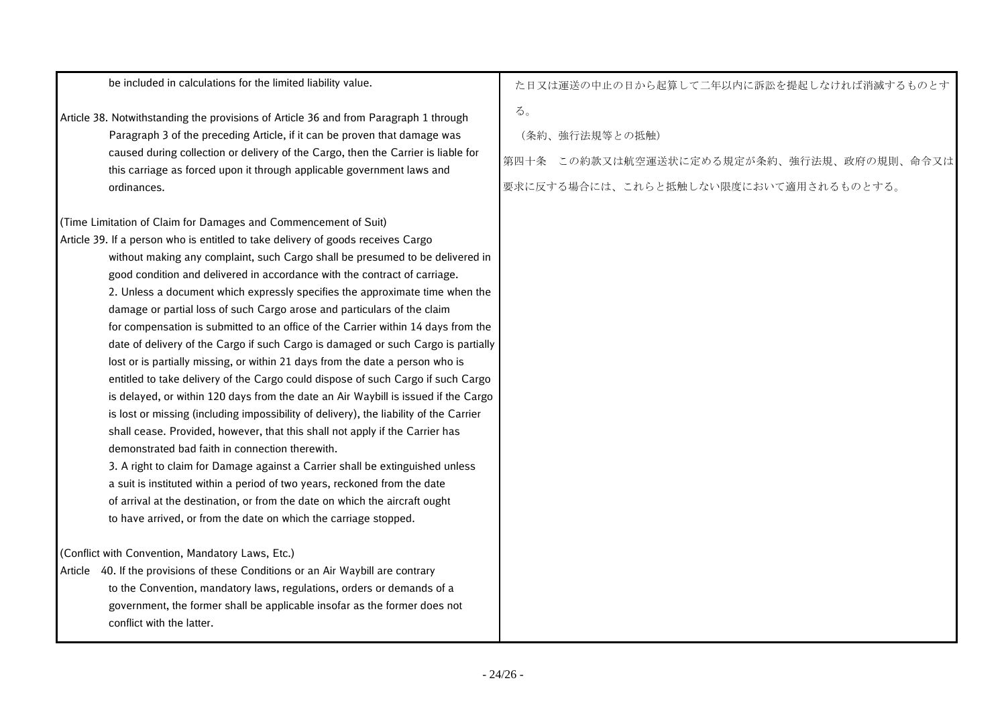| be included in calculations for the limited liability value.                                                                                                                                                                                                                                                                                                                                                                                                                                                                                                                                                                                                                                                                                                                                                                                                                                                                                                                                                                                                                                                                                                                                                                                                                                                                                                                                 | た日又は運送の中止の日から起算して二年以内に訴訟を提起しなければ消滅するものとす                                                                   |
|----------------------------------------------------------------------------------------------------------------------------------------------------------------------------------------------------------------------------------------------------------------------------------------------------------------------------------------------------------------------------------------------------------------------------------------------------------------------------------------------------------------------------------------------------------------------------------------------------------------------------------------------------------------------------------------------------------------------------------------------------------------------------------------------------------------------------------------------------------------------------------------------------------------------------------------------------------------------------------------------------------------------------------------------------------------------------------------------------------------------------------------------------------------------------------------------------------------------------------------------------------------------------------------------------------------------------------------------------------------------------------------------|------------------------------------------------------------------------------------------------------------|
| Article 38. Notwithstanding the provisions of Article 36 and from Paragraph 1 through<br>Paragraph 3 of the preceding Article, if it can be proven that damage was<br>caused during collection or delivery of the Cargo, then the Carrier is liable for<br>this carriage as forced upon it through applicable government laws and<br>ordinances.                                                                                                                                                                                                                                                                                                                                                                                                                                                                                                                                                                                                                                                                                                                                                                                                                                                                                                                                                                                                                                             | る。<br>(条約、強行法規等との抵触)<br>第四十条 この約款又は航空運送状に定める規定が条約、強行法規、政府の規則、命令又は<br>要求に反する場合には、これらと抵触しない限度において適用されるものとする。 |
| (Time Limitation of Claim for Damages and Commencement of Suit)                                                                                                                                                                                                                                                                                                                                                                                                                                                                                                                                                                                                                                                                                                                                                                                                                                                                                                                                                                                                                                                                                                                                                                                                                                                                                                                              |                                                                                                            |
| Article 39. If a person who is entitled to take delivery of goods receives Cargo<br>without making any complaint, such Cargo shall be presumed to be delivered in<br>good condition and delivered in accordance with the contract of carriage.<br>2. Unless a document which expressly specifies the approximate time when the<br>damage or partial loss of such Cargo arose and particulars of the claim<br>for compensation is submitted to an office of the Carrier within 14 days from the<br>date of delivery of the Cargo if such Cargo is damaged or such Cargo is partially<br>lost or is partially missing, or within 21 days from the date a person who is<br>entitled to take delivery of the Cargo could dispose of such Cargo if such Cargo<br>is delayed, or within 120 days from the date an Air Waybill is issued if the Cargo<br>is lost or missing (including impossibility of delivery), the liability of the Carrier<br>shall cease. Provided, however, that this shall not apply if the Carrier has<br>demonstrated bad faith in connection therewith.<br>3. A right to claim for Damage against a Carrier shall be extinguished unless<br>a suit is instituted within a period of two years, reckoned from the date<br>of arrival at the destination, or from the date on which the aircraft ought<br>to have arrived, or from the date on which the carriage stopped. |                                                                                                            |
| (Conflict with Convention, Mandatory Laws, Etc.)<br>Article 40. If the provisions of these Conditions or an Air Waybill are contrary<br>to the Convention, mandatory laws, regulations, orders or demands of a<br>government, the former shall be applicable insofar as the former does not<br>conflict with the latter.                                                                                                                                                                                                                                                                                                                                                                                                                                                                                                                                                                                                                                                                                                                                                                                                                                                                                                                                                                                                                                                                     |                                                                                                            |